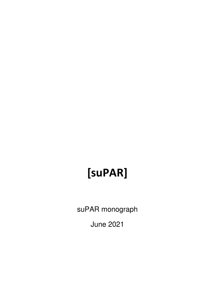# **[suPAR]**

suPAR monograph

June 2021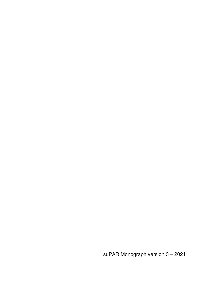suPAR Monograph version 3 – 2021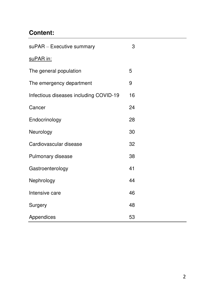# **Content:**

| suPAR - Executive summary              | 3  |
|----------------------------------------|----|
| suPAR in:                              |    |
| The general population                 | 5  |
| The emergency department               | 9  |
| Infectious diseases including COVID-19 | 16 |
| Cancer                                 | 24 |
| Endocrinology                          | 28 |
| Neurology                              | 30 |
| Cardiovascular disease                 | 32 |
| Pulmonary disease                      | 38 |
| Gastroenterology                       | 41 |
| Nephrology                             | 44 |
| Intensive care                         | 46 |
| Surgery                                | 48 |
| Appendices                             | 53 |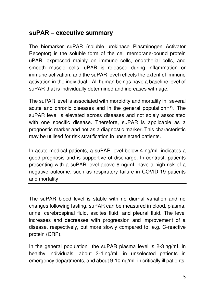### **suPAR ‒ executive summary**

The biomarker suPAR (soluble urokinase Plasminogen Activator Receptor) is the soluble form of the cell membrane-bound protein uPAR, expressed mainly on immune cells, endothelial cells, and smooth muscle cells. uPAR is released during inflammation or immune activation, and the suPAR level reflects the extent of immune activation in the individual<sup>1</sup>. All human beings have a baseline level of suPAR that is individually determined and increases with age.

The suPAR level is associated with morbidity and mortality in several acute and chronic diseases and in the general population<sup>2-15</sup>. The suPAR level is elevated across diseases and not solely associated with one specific disease. Therefore, suPAR is applicable as a prognostic marker and not as a diagnostic marker. This characteristic may be utilised for risk stratification in unselected patients.

In acute medical patients, a suPAR level below 4 ng/mL indicates a good prognosis and is supportive of discharge. In contrast, patients presenting with a suPAR level above 6 ng/mL have a high risk of a negative outcome, such as respiratory failure in COVID-19 patients and mortality

The suPAR blood level is stable with no diurnal variation and no changes following fasting. suPAR can be measured in blood, plasma, urine, cerebrospinal fluid, ascites fluid, and pleural fluid. The level increases and decreases with progression and improvement of a disease, respectively, but more slowly compared to, e.g. C-reactive protein (CRP).

In the general population the suPAR plasma level is 2-3 ng/mL in healthy individuals, about 3-4 ng/mL in unselected patients in emergency departments, and about 9-10 ng/mL in critically ill patients.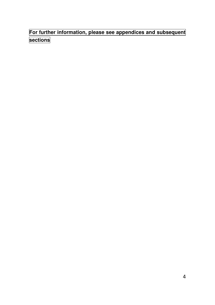**For further information, please see appendices and subsequent sections**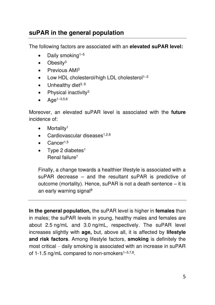# **suPAR in the general population**

The following factors are associated with an **elevated suPAR level:**

- Daily smoking<sup> $1-5$ </sup>
- Obesity<sup>3</sup>
- Previous AMI<sup>3</sup>
- Low HDL cholesterol/high LDL cholesterol<sup>1-3</sup>
- Unhealthy diet $3, 9$
- $\bullet$  Physical inactivity<sup>3</sup>
- $Aqe^{1-3,5,6}$

Moreover, an elevated suPAR level is associated with the **future** incidence of:

- Mortality<sup>1</sup>
- Cardiovascular diseases $1,2,8$
- Cancer<sup>1,5</sup>
- Type 2 diabetes<sup>1</sup> Renal failure<sup>7</sup>

Finally, a change towards a healthier lifestyle is associated with a suPAR decrease – and the resultant suPAR is predictive of outcome (mortality). Hence, suPAR is not a death sentence – it is an early warning signal<sup>8</sup>

**In the general population,** the suPAR level is higher in **females** than in males; the suPAR levels in young, healthy males and females are about 2.5 ng/mL and 3.0 ng/mL, respectively. The suPAR level increases slightly with **age,** but, above all, it is affected by **lifestyle and risk factors**. Among lifestyle factors, **smoking** is definitely the most critical – daily smoking is associated with an increase in suPAR of 1-1.5 ng/mL compared to non-smokers<sup>1–5,7,8</sup>.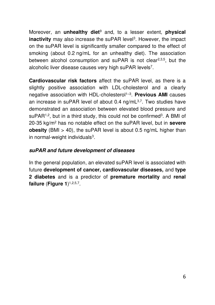Moreover, an **unhealthy diet**<sup>9</sup> and, to a lesser extent, **physical inactivity** may also increase the suPAR level<sup>3</sup>. However, the impact on the suPAR level is significantly smaller compared to the effect of smoking (about 0.2 ng/mL for an unhealthy diet). The association between alcohol consumption and suPAR is not clear<sup>2,3,5</sup>, but the alcoholic liver disease causes very high suPAR levels<sup>7</sup>.

**Cardiovascular risk factors** affect the suPAR level, as there is a slightly positive association with LDL-cholesterol and a clearly negative association with HDL-cholesterol<sup>1-3</sup>. Previous AMI causes an increase in suPAR level of about 0.4 ng/mL<sup>3,7</sup>. Two studies have demonstrated an association between elevated blood pressure and suPAR<sup>1,2</sup>, but in a third study, this could not be confirmed<sup>3</sup>. A BMI of 20-35 kg/m<sup>2</sup> has no notable effect on the suPAR level, but in **severe obesity** (BMI > 40), the suPAR level is about 0.5 ng/mL higher than in normal-weight individuals<sup>3</sup>.

#### **suPAR and future development of diseases**

In the general population, an elevated suPAR level is associated with future **development of cancer, cardiovascular diseases,** and **type 2 diabetes** and is a predictor of **premature mortality** and **renal failure** (**Figure 1**) 1,2,5,7 .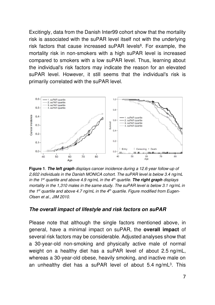Excitingly, data from the Danish Inter99 cohort show that the mortality risk is associated with the suPAR level itself not with the underlying risk factors that cause increased suPAR levels<sup>8</sup>. For example, the mortality risk in non-smokers with a high suPAR level is increased compared to smokers with a low suPAR level. Thus, learning about the individual's risk factors may indicate the reason for an elevated suPAR level. However, it still seems that the individual's risk is primarily correlated with the suPAR level.



**Figure 1**. **The left graph** *displays cancer incidence during a 12.6-year follow-up of 2,602 individuals in the Danish MONICA cohort. The suPAR level is below 3.4 ng/mL in the 1st quartile and above 4.9 ng/mL in the 4th quartile.* **The right graph** *displays mortality in the 1,310 males in the same study. The suPAR level is below 3.1 ng/mL in the 1st quartile and above 4.7 ng/mL in the 4th quartile. Figure modified from Eugen-Olsen et al., JIM 2010.* 

#### **The overall impact of lifestyle and risk factors on suPAR**

Please note that although the single factors mentioned above, in general, have a minimal impact on suPAR, the **overall impact** of several risk factors may be considerable. Adjusted analyses show that a 30-year-old non-smoking and physically active male of normal weight on a healthy diet has a suPAR level of about 2.5 ng/mL, whereas a 30-year-old obese, heavily smoking, and inactive male on an unhealthy diet has a suPAR level of about 5.4 ng/mL<sup>3</sup>. This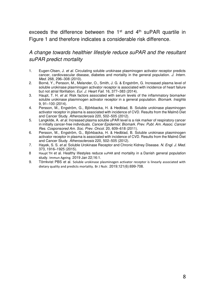exceeds the difference between the  $1<sup>st</sup>$  and  $4<sup>th</sup>$  suPAR quartile in Figure 1 and therefore indicates a considerable risk difference.

*A change towards healthier lifestyle reduce suPAR and the resultant suPAR predict mortality* 

- 1. Eugen-Olsen, J. *et al.* Circulating soluble urokinase plasminogen activator receptor predicts cancer, cardiovascular disease, diabetes and mortality in the general population. *J. Intern. Med.* 268, 296–308 (2010).
- 2. Borné, Y., Persson, M., Melander, O., Smith, J. G. & Engström, G. Increased plasma level of soluble urokinase plasminogen activator receptor is associated with incidence of heart failure but not atrial fibrillation. *Eur. J. Heart Fail.* 16, 377–383 (2014).
- 3. Haupt, T. H. *et al.* Risk factors associated with serum levels of the inflammatory biomarker soluble urokinase plasminogen activator receptor in a general population. *Biomark. Insights* 9, 91–100 (2014).
- 4. Persson, M., Engström, G., Björkbacka, H. & Hedblad, B. Soluble urokinase plasminogen activator receptor in plasma is associated with incidence of CVD. Results from the Malmö Diet and Cancer Study. *Atherosclerosis* 220, 502–505 (2012).
- 5. Langkilde, A. *et al.* Increased plasma soluble uPAR level is a risk marker of respiratory cancer in initially cancer-free individuals. *Cancer Epidemiol. Biomark. Prev. Publ. Am. Assoc. Cancer Res. Cosponsored Am. Soc. Prev. Oncol.* 20, 609–618 (2011).
- 6. Persson, M., Engström, G., Björkbacka, H. & Hedblad, B. Soluble urokinase plasminogen activator receptor in plasma is associated with incidence of CVD. Results from the Malmö Diet and Cancer Study. *Atherosclerosis* 220, 502–505 (2012).
- 7. Hayek, S. S. *et al.* Soluble Urokinase Receptor and Chronic Kidney Disease. *N. Engl. J. Med.* 373, 1916–1925 (2015).
- 8 Haupt TH et al. Healthy lifestyles reduce suPAR and mortality in a Danish general population study. [Immun Ageing.](https://www.ncbi.nlm.nih.gov/pubmed/30679937) 2019 Jan 22;16:1.
- 9. Törnkvist PBS et al. [Soluble urokinase plasminogen activator receptor is linearly associated with](https://www.ncbi.nlm.nih.gov/pubmed/30626457)  [dietary quality and predicts mortality.](https://www.ncbi.nlm.nih.gov/pubmed/30626457) Br J Nutr. 2019;121(6):699-708.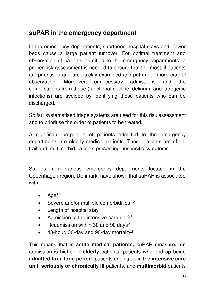# **suPAR in the emergency department**

In the emergency departments, shortened hospital stays and fewer beds cause a large patient turnover. For optimal treatment and observation of patients admitted to the emergency departments, a proper risk assessment is needed to ensure that the most ill patients are prioritised and are quickly examined and put under more careful observation. Moreover, unnecessary admissions and the complications from these (functional decline, delirium, and iatrogenic infections) are avoided by identifying those patients who can be discharged.

So far, systematised triage systems are used for this risk assessment and to prioritise the order of patients to be treated.

A significant proportion of patients admitted to the emergency departments are elderly medical patients. These patients are often, frail and multimorbid patients presenting unspecific symptoms.

Studies from various emergency departments located in the Copenhagen region, Denmark, have shown that suPAR is associated with:

- $\bullet$  Age<sup>1,2</sup>
- Severe and/or multiple comorbidities<sup>1,2</sup>
- Length of hospital stay<sup>2</sup>
- Admission to the intensive care unit<sup>2,3</sup>
- Readmission within 30 and 90 days<sup>2</sup>
- 48-hour, 30-day and 90-day mortality<sup>2</sup>

This means that in **acute medical patients,** suPAR measured on admission is higher in **elderly** patients, patients who end up being **admitted for a long period**, patients ending up in the **intensive care unit**, **seriously or chronically ill** patients, and **multimorbid** patients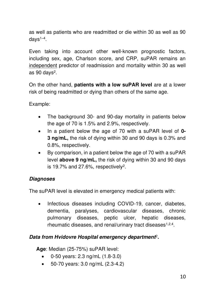as well as patients who are readmitted or die within 30 as well as 90 days<sup>1</sup>–<sup>4</sup> .

Even taking into account other well-known prognostic factors, including sex, age, Charlson score, and CRP, suPAR remains an independent predictor of readmission and mortality within 30 as well as 90 days<sup>2</sup>.

On the other hand, **patients with a low suPAR level** are at a lower risk of being readmitted or dying than others of the same age.

Example:

- The background 30- and 90-day mortality in patients below the age of 70 is 1.5% and 2.9%, respectively.
- In a patient below the age of 70 with a suPAR level of **0- 3 ng/mL,** the risk of dying within 30 and 90 days is 0.3% and 0.8%, respectively.
- By comparison, in a patient below the age of 70 with a suPAR level **above 9 ng/mL,** the risk of dying within 30 and 90 days is 19.7% and 27.6%, respectively<sup>2</sup>.

#### **Diagnoses**

The suPAR level is elevated in emergency medical patients with:

• Infectious diseases including COVID-19, cancer, diabetes, dementia, paralyses, cardiovascular diseases, chronic pulmonary diseases, peptic ulcer, hepatic diseases, rheumatic diseases, and renal/urinary tract diseases<sup>1,2,4</sup>.

#### **Data from Hvidovre Hospital emergency department**<sup>2</sup> **.**

**Age**: Median (25-75%) suPAR level:

- 0-50 years: 2.3 ng/mL (1.8-3.0)
- 50-70 years: 3.0 ng/mL (2.3-4.2)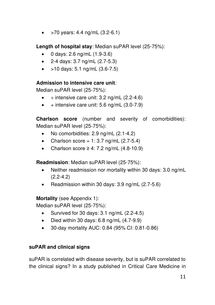•  $>70$  years: 4.4 ng/mL  $(3.2-6.1)$ 

**Length of hospital stay**: Median suPAR level (25-75%):

- 0 days: 2.6 ng/mL (1.9-3.6)
- 2-4 days: 3.7 ng/mL (2.7-5.3)
- $>10$  days: 5.1 ng/mL (3.6-7.5)

#### **Admission to intensive care unit**:

Median suPAR level (25-75%):

- $\div$  intensive care unit: 3.2 ng/mL (2.2-4.6)
- $\bullet$  + intensive care unit: 5.6 ng/mL (3.0-7.9)

**Charlson score** (number and severity of comorbidities): Median suPAR level (25-75%):

- No comorbidities: 2.9 ng/mL (2.1-4.2)
- Charlson score =  $1:3.7$  ng/mL (2.7-5.4)
- Charlson score  $\geq 4$ : 7.2 ng/mL (4.8-10.9)

**Readmission**: Median suPAR level (25-75%):

- Neither readmission nor mortality within 30 days: 3.0 ng/mL (2.2-4.2)
- Readmission within 30 days: 3.9 ng/mL (2.7-5.6)

**Mortality** (see Appendix 1):

Median suPAR level (25-75%):

- Survived for 30 days: 3.1 ng/mL (2.2-4.5)
- Died within 30 days:  $6.8 \text{ ng/mL}$  (4.7-9.9)
- 30-day mortality AUC: 0.84 (95% CI: 0.81-0.86)

### **suPAR and clinical signs**

suPAR is correlated with disease severity, but is suPAR correlated to the clinical signs? In a study published in Critical Care Medicine in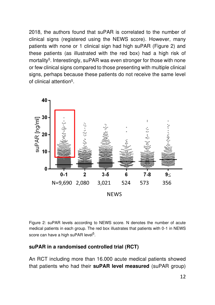2018, the authors found that suPAR is correlated to the number of clinical signs (registered using the NEWS score). However, many patients with none or 1 clinical sign had high suPAR (Figure 2) and these patients (as illustrated with the red box) had a high risk of mortality<sup>5</sup>. Interestingly, suPAR was even stronger for those with none or few clinical signs compared to those presenting with multiple clinical signs, perhaps because these patients do not receive the same level of clinical attention<sup>5</sup>.



Figure 2: suPAR levels according to NEWS score. N denotes the number of acute medical patients in each group. The red box illustrates that patients with 0-1 in NEWS score can have a high suPAR level<sup>5</sup>.

#### **suPAR in a randomised controlled trial (RCT)**

An RCT including more than 16.000 acute medical patients showed that patients who had their **suPAR level measured** (suPAR group)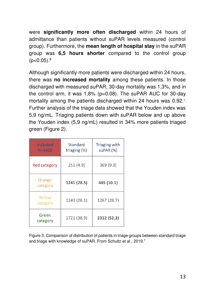were **significantly more often discharged** within 24 hours of admittance than patients without suPAR levels measured (control group). Furthermore, the **mean length of hospital stay** in the suPAR group was **6,5 hours shorter** compared to the control group  $(p<0.05)$ .<sup>6</sup>

Although significantly more patients were discharged within 24 hours, there was **no increased mortality** among these patients. In those discharged with measured suPAR, 30-day mortality was 1,3%, and in the control arm, it was 1,8% (p=0.08). The suPAR AUC for 30-day mortality among the patients discharged within 24 hours was 0.92.<sup>7</sup> Further analysis of the triage data showed that the Youden index was 5,9 ng/mL. Triaging patients down with suPAR below and up above the Youden index (5,9 ng/mL) resulted in 34% more patients triaged green (Figure 2).

| Included<br>$N = 4420$ | Standard<br>triaging (%) | Triaging with<br>suPAR (%) |
|------------------------|--------------------------|----------------------------|
| <b>Red category</b>    | 251(4.9)                 | 369 (9.0)                  |
| Orange<br>category     | 1241 (28.5)              | 445 (10.1)                 |
| Yellow<br>category     | 1243 (28.1)              | 1267 (28.7)                |
| Green<br>category      | 1721 (38.9)              | 2312 (52.3)                |

Figure 3. Comparison of distribution of patients in triage groups between standard triage and triage with knowledge of suPAR. From Schultz et al., 2019.<sup>7</sup>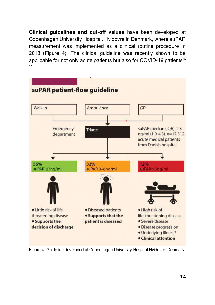**Clinical guidelines and cut-off values** have been developed at Copenhagen University Hospital, Hvidovre in Denmark, where suPAR measurement was implemented as a clinical routine procedure in 2013 (Figure 4). The clinical guideline was recently shown to be applicable for not only acute patients but also for COVID-19 patients<sup>8-</sup> 11 .



Figure 4: Guideline developed at Copenhagen University Hospital Hvidovre, Denmark.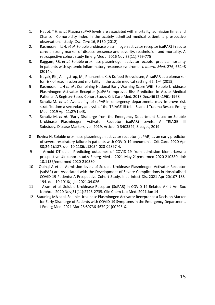- 1. Haupt, T H. *et al.* Plasma suPAR levels are associated with mortality, admission time, and Charlson Comorbidity Index in the acutely admitted medical patient: a prospective observational study. *Crit. Care* 16, R130 (2012).
- 2. Rasmussen, LJH. *et al.* Soluble urokinase plasminogen activator receptor (suPAR) in acute care: a strong marker of disease presence and severity, readmission and mortality. A retrospective cohort stud[y Emerg Med J. 2](https://www.ncbi.nlm.nih.gov/pubmed/27590986)016 Nov;33(11):769-775
- 3. Raggam, RB. *et al.* Soluble urokinase plasminogen activator receptor predicts mortality in patients with systemic inflammatory response syndrome. *J. Intern. Med.* 276, 651–8 (2014).
- 4. Nayak, RK., Allingstrup, M., Phanareth, K. & Kofoed-Enevoldsen, A. suPAR as a biomarker for risk of readmission and mortality in the acute medical setting. 62, 1–4 (2015).
- 5 [Rasmussen LJH](https://www.ncbi.nlm.nih.gov/pubmed/?term=Rasmussen%20LJH%5BAuthor%5D&cauthor=true&cauthor_uid=30247244) *et al.*, Combining National Early Warning Score With Soluble Urokinase Plasminogen Activator Receptor (suPAR) Improves Risk Prediction in Acute Medical Patients: A Registry-Based Cohort Study[. Crit Care Med.](https://www.ncbi.nlm.nih.gov/pubmed/30247244) 2018 Dec;46(12):1961-1968
- 6 Schultz M. *et al.* Availability of suPAR in emergency departments may improve risk stratification: a secondary analysis of the TRIAGE III trial. [Scand J Trauma Resusc Emerg](https://www.ncbi.nlm.nih.gov/pubmed/30975178)  [Med. 2](https://www.ncbi.nlm.nih.gov/pubmed/30975178)019 Apr 11;27(1):43.
- 7. Schultz M. *et al.* "Early Discharge from the Emergency Department Based on Soluble Urokinase Plasminogen Activator Receptor (suPAR) Levels: A TRIAGE III Substudy. Disease Markers, vol. 2019, Article ID 3403549, 8 pages, 2019
- 8 Rovina N, Soluble urokinase plasminogen activator receptor (suPAR) as an early predictor of severe respiratory failure in patients with COVID-19 pneumonia. Crit Care. 2020 Apr 30;24(1):187. doi: 10.1186/s13054-020-02897-4.
- 9 Arnold DT et al. Predicting outcomes of COVID-19 from admission biomarkers: a prospective UK cohort stud.y Emerg Med J. 2021 May 21;emermed-2020-210380. doi: 10.1136/emermed-2020-210380.
- 10 [Oulhaj](https://pubmed.ncbi.nlm.nih.gov/?sort=date&term=Oulhaj+A&cauthor_id=33862208) A et al. Admission levels of Soluble Urokinase Plasminogen Activator Receptor (suPAR) are Associated with the Development of Severe Complications in Hospitalised COVID-19 Patients: A Prospective Cohort Study. Int J Infect Dis. 2021 Apr 20;107:188- 194. doi: 10.1016/j.ijid.2021.04.026.
- 11 Azam et al. Soluble Urokinase Receptor (SuPAR) in COVID-19-Related AKI J Am Soc Nephrol. 2020 Nov;31(11):2725-2735. Clin Chem Lab Med. 2021 Jun 14
- 12 Stauning MA at al[, Soluble Urokinase Plasminogen Activator Receptor as a Decision Marker](https://pubmed.ncbi.nlm.nih.gov/34092446/)  [for Early Discharge of Patients with COVID-19 Symptoms in the Emergency Department.](https://pubmed.ncbi.nlm.nih.gov/34092446/)  J Emerg Med. 2021 Mar 26:S0736-4679(21)00295-X.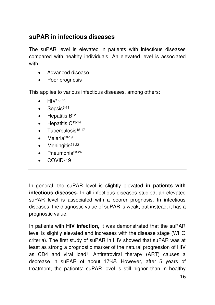# **suPAR in infectious diseases**

The suPAR level is elevated in patients with infectious diseases compared with healthy individuals. An elevated level is associated with:

- Advanced disease
- Poor prognosis

This applies to various infectious diseases, among others:

- $\bullet$  HIV<sup>1-5, 25</sup>
- $\bullet$  Sepsis<sup>6-11</sup>
- $\bullet$  Hepatitis  $B^{12}$
- $\bullet$  Hepatitis  $C^{13-14}$
- $\bullet$  Tuberculosis<sup>15-17</sup>
- Malaria<sup>18-19</sup>
- $\bullet$  Meningitis<sup>21-22</sup>
- Pneumonia<sup>23-24</sup>
- COVID-19

In general, the suPAR level is slightly elevated **in patients with infectious diseases.** In all infectious diseases studied, an elevated suPAR level is associated with a poorer prognosis. In infectious diseases, the diagnostic value of suPAR is weak, but instead, it has a prognostic value.

In patients with **HIV infection,** it was demonstrated that the suPAR level is slightly elevated and increases with the disease stage (WHO criteria). The first study of suPAR in HIV showed that suPAR was at least as strong a prognostic marker of the natural progression of HIV as CD4 and viral load<sup>1</sup> . Antiretroviral therapy (ART) causes a decrease in suPAR of about 17%<sup>2</sup> . However, after 5 years of treatment, the patients**'** suPAR level is still higher than in healthy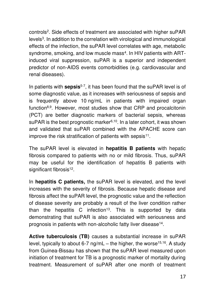controls<sup>2</sup>. Side effects of treatment are associated with higher suPAR levels<sup>3</sup>. In addition to the correlation with virological and immunological effects of the infection, the suPAR level correlates with age, metabolic syndrome, smoking, and low muscle mass<sup>4</sup>. In HIV patients with ARTinduced viral suppression, suPAR is a superior and independent predictor of non-AIDS events comorbidities (e.g. cardiovascular and renal diseases).

In patients with **sepsis**5-7, it has been found that the suPAR level is of some diagnostic value, as it increases with seriousness of sepsis and is frequently above 10 ng/mL in patients with impaired organ function8,9. However, most studies show that CRP and procalcitonin (PCT) are better diagnostic markers of bacterial sepsis, whereas suPAR is the best prognostic marker<sup>6,10</sup>. In a later cohort, it was shown and validated that suPAR combined with the APACHE score can improve the risk stratification of patients with sepsis<sup>11</sup>.

The suPAR level is elevated in **hepatitis B patients** with hepatic fibrosis compared to patients with no or mild fibrosis. Thus, suPAR may be useful for the identification of hepatitis B patients with significant fibrosis<sup>12</sup>.

In **hepatitis C patients,** the suPAR level is elevated, and the level increases with the severity of fibrosis. Because hepatic disease and fibrosis affect the suPAR level, the prognostic value and the reflection of disease severity are probably a result of the liver condition rather than the hepatitis C infection<sup>13</sup>. This is supported by data demonstrating that suPAR is also associated with seriousness and prognosis in patients with non-alcoholic fatty liver disease<sup>14</sup>.

**Active tuberculosis (TB)** causes a substantial increase in suPAR level, typically to about 6-7 ng/mL – the higher, the worse<sup>15,16</sup>. A study from Guinea-Bissau has shown that the suPAR level measured upon initiation of treatment for TB is a prognostic marker of mortality during treatment. Measurement of suPAR after one month of treatment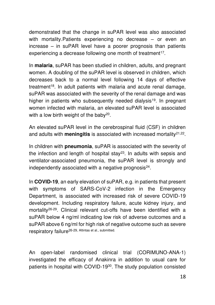demonstrated that the change in suPAR level was also associated with mortality. Patients experiencing no decrease – or even an increase – in suPAR level have a poorer prognosis than patients experiencing a decrease following one month of treatment<sup>17</sup>.

In **malaria**, suPAR has been studied in children, adults, and pregnant women. A doubling of the suPAR level is observed in children, which decreases back to a normal level following 14 days of effective treatment<sup>18</sup>. In adult patients with malaria and acute renal damage, suPAR was associated with the severity of the renal damage and was higher in patients who subsequently needed dialysis<sup>19</sup>. In pregnant women infected with malaria, an elevated suPAR level is associated with a low birth weight of the baby<sup>20</sup>.

An elevated suPAR level in the cerebrospinal fluid (CSF) in children and adults with **meningitis** is associated with increased mortality<sup>21,22</sup>.

In children with **pneumonia**, suPAR is associated with the severity of the infection and length of hospital stay<sup>23</sup>. In adults with sepsis and ventilator-associated pneumonia, the suPAR level is strongly and independently associated with a negative prognosis $^{24}$ .

In **COVID-19**, an early elevation of suPAR, e.g. in patients that present with symptoms of SARS-CoV-2 infection in the Emergency Department, is associated with increased risk of severe COVID-19 development. Including respiratory failure, acute kidney injury, and mortality26-29. Clinical relevant cut-offs have been identified with a suPAR below 4 ng/ml indicating low risk of adverse outcomes and a suPAR above 6 ng/ml for high risk of negative outcome such as severe respiratory failure<sup>26-29, Altintas et al., submitted.</sup>

An open-label randomised clinical trial (CORIMUNO-ANA-1) investigated the efficacy of Anakinra in addition to usual care for patients in hospital with COVID-1930. The study population consisted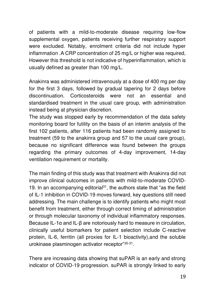of patients with a mild-to-moderate disease requiring low-flow supplemental oxygen, patients receiving further respiratory support were excluded. Notably, enrolment criteria did not include hyper inflammation .A CRP concentration of 25 mg/L or higher was required. However this threshold is not indicative of hyperinflammation, which is usually defined as greater than 100 mg/L.

Anakinra was administered intravenously at a dose of 400 mg per day for the first 3 days, followed by gradual tapering for 2 days before discontinuation. Corticosteroids were not an essential and standardised treatment in the usual care group, with administration instead being at physician discretion.

The study was stopped early by recommendation of the data safety monitoring board for futility on the basis of an interim analysis of the first 102 patients, after 116 patients had been randomly assigned to treatment (59 to the anakinra group and 57 to the usual care group), because no significant difference was found between the groups regarding the primary outcomes of 4-day improvement, 14-day ventilation requirement or mortality.

The main finding of this study was that treatment with Anakinra did not improve clinical outcomes in patients with mild-to-moderate COVID-19. In an accompanying editorial $31$ , the authors state that "as the field of IL-1 inhibition in COVID-19 moves forward, key questions still need addressing. The main challenge is to identify patients who might most benefit from treatment, either through correct timing of administration or through molecular taxonomy of individual inflammatory responses. Because IL-1α and IL-β are notoriously hard to measure in circulation, clinically useful biomarkers for patient selection include C-reactive protein, IL-6, ferritin (all proxies for IL-1 bioactivity),and the soluble urokinase plasminogen activator receptor"30-31 .

There are increasing data showing that suPAR is an early and strong indicator of COVID-19 progression. suPAR is strongly linked to early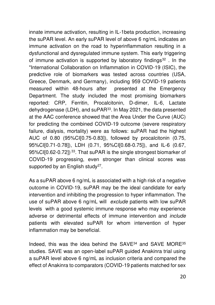innate immune activation, resulting in IL-1beta production, increasing the suPAR level. An early suPAR level of above 6 ng/mL indicates an immune activation on the road to hyperinflammation resulting in a dysfunctional and dysregulated immune system. This early triggering of immune activation is supported by laboratory findings<sup>32</sup>. In the "International Collaboration on Inflammation in COVID-19 (ISIC), the predictive role of biomarkers was tested across countries (USA, Greece, Denmark, and Germany), including 959 COVID-19 patients measured within 48-hours after presented at the Emergency Department. The study included the most promising biomarkers reported: CRP, Ferritin, Procalcitonin, D-dimer, IL-6, Lactate dehydrogenase (LDH), and suPAR<sup>33</sup>. In May 2021, the data presented at the AAC conference showed that the Area Under the Curve (AUC) for predicting the combined COVID-19 outcome (severe respiratory failure, dialysis, mortality) were as follows: suPAR had the highest AUC of 0.80 (95%CI[0.75-0.83]), followed by procalcitonin (0.75, 95%CI[0.71-0.78]), LDH (0.71, 95%CI[0.68-0.75]), and IL-6 (0.67, 95%CI[0.62-0.72])<sup>33</sup>. That suPAR is the single strongest biomarker of COVID-19 progressing, even stronger than clinical scores was supported by an English study<sup>27</sup>.

As a suPAR above 6 ng/mL is associated with a high risk of a negative outcome in COVID-19, suPAR may be the ideal candidate for early intervention and inhibiting the progression to hyper inflammation. The use of suPAR above 6 ng/mL will *exclude* patients with low suPAR levels with a good systemic immune response who may experience adverse or detrimental effects of immune intervention and *include* patients with elevated suPAR for whom intervention of hyper inflammation may be beneficial.

Indeed, this was the idea behind the SAVE<sup>34</sup> and SAVE MORE<sup>35</sup> studies. SAVE was an open-label suPAR guided Anakinra trial using a suPAR level above 6 ng/mL as inclusion criteria and compared the effect of Anakinra to comparators (COVID-19 patients matched for sex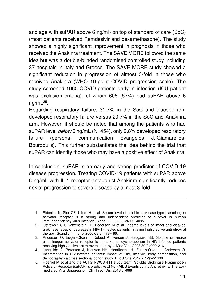and age with suPAR above 6 ng/ml) on top of standard of care (SoC) (most patients received Remdesivir and dexamethasone). The study showed a highly significant improvement in prognosis in those who received the Anakinra treatment. The SAVE MORE followed the same idea but was a double-blinded randomised controlled study including 37 hospitals in Italy and Greece. The SAVE MORE study showed a significant reduction in progression of almost 3-fold in those who received Anakinra (WHO 10-point COVID progression scale). The study screened 1060 COVID-patients early in infection (ICU patient was exclusion criteria), of whom 606 (57%) had suPAR above 6 ng/mL<sup>35</sup> .

Regarding respiratory failure, 31.7% in the SoC and placebo arm developed respiratory failure versus 20.7% in the SoC and Anakinra arm. However, it should be noted that among the patients who had suPAR level *below* 6 ng/mL (N=454), only 2,8% developed respiratory failure (personal communication Evangelos J. Giamarellos-Bourboulis). This further substantiates the idea behind the trial that suPAR can identify those who may have a positive effect of Anakinra.

In conclusion, suPAR is an early and strong predictor of COVID-19 disease progression. Treating COVID-19 patients with suPAR above 6 ng/mL with IL-1 receptor antagonist Anakinra significantly reduces risk of progression to severe disease by almost 3-fold.

 <sup>1.</sup> Sidenius N, Sier CF, Ullum H et al. Serum level of soluble urokinase-type plasminogen activator receptor is a strong and independent predictor of survival in human immunodeficiency virus infection. Blood 2000;96(13):4091-4095.

 <sup>2.</sup> Ostrowski SR, Katzenstein TL, Pedersen M et al. Plasma levels of intact and cleaved urokinase receptor decrease in HIV-1-infected patients initiating highly active antiretroviral therapy. Scand J Immunol 2006;63(6):478-486.

 <sup>3.</sup> Andersen O, Eugen-Olsen J, Kofoed K, Iversen J, Haugaard SB. Soluble urokinase plasminogen activator receptor is a marker of dysmetabolism in HIV-infected patients receiving highly active antiretroviral therapy. J Med Virol 2008;80(2):209-216.

 <sup>4.</sup> Langkilde A, Petersen J, Klausen HH, Henriksen JH, Eugen-Olsen J, Andersen O. Inflammation in HIV-infected patients: impact of HIV, lifestyle, body composition, and demography - a cross sectional cohort study. PLoS One 2012;7(12):e51698.

 <sup>5.</sup> [Hoenigl M](https://www.ncbi.nlm.nih.gov/pubmed/?term=Hoenigl%20M%5BAuthor%5D&cauthor=true&cauthor_uid=30418519) et al and th[e ACTG NWCS 411 study team.](https://www.ncbi.nlm.nih.gov/pubmed/?term=ACTG%20NWCS%20411%20study%20team%5BCorporate%20Author%5D) Soluble Urokinase Plasminogen Activator Receptor (suPAR) is predictive of Non-AIDS Events during Antiretroviral Therapymediated Viral Suppression[. Clin Infect Dis. 2](https://www.ncbi.nlm.nih.gov/pubmed/30418519)018 ciy966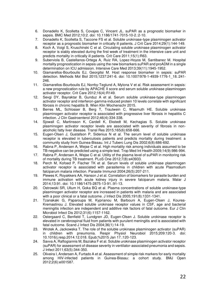- 6. Donadello K, Scolletta S, Covajes C, Vincent JL. suPAR as a prognostic biomarker in sepsis. BMC Med 2012;10:2. doi: 10.1186/1741-7015-10-2.:2-10.
- 7. Donadello K, Scolletta S, Taccone FS et al. Soluble urokinase-type plasminogen activator receptor as a prognostic biomarker in critically ill patients. J Crit Care 2014;29(1):144-149.
- 8. Koch A, Voigt S, Kruschinski C et al. Circulating soluble urokinase plasminogen activator receptor is stably elevated during the first week of treatment in the intensive care unit and predicts mortality in critically ill patients. Crit Care 2011;15(1):R63.
- 9. Suberviola B, Castellanos-Ortega A, Ruiz RA, Lopez-Hoyos M, Santibanez M. Hospital mortality prognostication in sepsis using the new biomarkers suPAR and proADM in a single determination on ICU admission. Intensive Care Med 2013;39(11):1945-1952.
- 10. Giamarellos-Bourboulis EJ, Georgitsi M. Host response biomarker in sepsis: suPAR detection. Methods Mol Biol 2015;1237:241-6. doi: 10.1007/978-1-4939-1776-1\_18.:241- 246.
- 11. Giamarellos-Bourboulis EJ, Norrby-Teglund A, Mylona V et al. Risk assessment in sepsis: a new prognostication rule by APACHE II score and serum soluble urokinase plasminogen activator receptor. Crit Care 2012;16(4):R149.
- 12. Sevgi DY, Bayraktar B, Gunduz A et al. Serum soluble urokinase-type plasminogen activator receptor and interferon-gamma-induced protein 10 levels correlate with significant fibrosis in chronic hepatitis B. Wien Klin Wochenschr 2015.
- 13. Berres ML, Schlosser B, Berg T, Trautwein C, Wasmuth HE. Soluble urokinase plasminogen activator receptor is associated with progressive liver fibrosis in hepatitis C infection. J Clin Gastroenterol 2012;46(4):334-338.
- 14. Sjowall C, Martinsson K, Cardell K, Ekstedt M, Kechagias S. Soluble urokinase plasminogen activator receptor levels are associated with severity of fibrosis in nonalcoholic fatty liver disease. Transl Res 2015;165(6):658-666.
- 15. Eugen-Olsen J, Gustafson P, Sidenius N et al. The serum level of soluble urokinase receptor is elevated in tuberculosis patients and predicts mortality during treatment: a community study from Guinea-Bissau. Int J Tuberc Lung Dis 2002;6(8):686-692.
- 16. Rabna P, Andersen A, Wejse C et al. High mortality risk among individuals assumed to be TB-negative can be predicted using a simple test. Trop Med Int Health 2009;14(9):986-994.
- 17. Rabna P, Andersen A, Wejse C et al. Utility of the plasma level of suPAR in monitoring risk of mortality during TB treatment. PLoS One 2012;7(8):e43933.
- 18. Perch M, Kofoed P, Fischer TK et al. Serum levels of soluble urokinase plasminogen activator receptor is associated with parasitemia in children with acute Plasmodium falciparum malaria infection. Parasite Immunol 2004;26(5):207-211.
- 19. Plewes K, Royakkers AA, Hanson J et al. Correlation of biomarkers for parasite burden and immune activation with acute kidney injury in severe falciparum malaria. Malar J 2014;13:91. doi: 10.1186/1475-2875-13-91.:91-13.
- 20. Ostrowski SR, Ullum H, Goka BQ et al. Plasma concentrations of soluble urokinase-type plasminogen activator receptor are increased in patients with malaria and are associated with a poor clinical or a fatal outcome. J Infect Dis 2005;191(8):1331-1341.
- 21. Tzanakaki G, Paparoupa M, Kyprianou M, Barbouni A, Eugen-Olsen J, Kourea-Kremastinou J. Elevated soluble urokinase receptor values in CSF, age and bacterial meningitis infection are independent and additive risk factors of fatal outcome. Eur J Clin Microbiol Infect Dis 2012;31(6):1157-1162.
- 22. Ostergaard C, Benfield T, Lundgren JD, Eugen-Olsen J. Soluble urokinase receptor is elevated in cerebrospinal fluid from patients with purulent meningitis and is associated with fatal outcome. Scand J Infect Dis 2004;36(1):14-19.
- 23. Wrotek A, Jackowska T. The role of the soluble urokinase plasminogen activator (suPAR) in children with pneumonia. Respir Physiol Neurobiol 2015;209:120-3. doi: 10.1016/j.resp.2014.12.018. Epub;%2015 Jan 17.:120-123.
- 24. Savva A, Raftogiannis M, Baziaka F et al. Soluble urokinase plasminogen activator receptor (suPAR) for assessment of disease severity in ventilator-associated pneumonia and sepsis. J Infect 2011;63(5):344-350.
- 25. Oliveira I, Andersen A, Furtado A et al. Assessment of simple risk markers for early mortality among HIV-infected patients in Guinea-Bissau: a cohort study. BMJ Open 2012;2(6):e001587.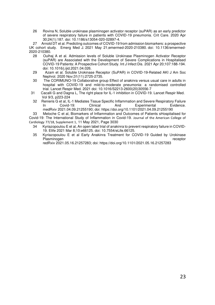26 Rovina N, Soluble urokinase plasminogen activator receptor (suPAR) as an early predictor of severe respiratory failure in patients with COVID-19 pneumonia. Crit Care. 2020 Apr 30;24(1):187. doi: 10.1186/s13054-020-02897-4.

 27 Arnold DT et al. Predicting outcomes of COVID-19 from admission biomarkers: a prospective UK cohort study. Emerg Med J. 2021 May 21;emermed-2020-210380. doi: 10.1136/emermed-2020-210380.

- 28 Oulhaj A et al. Admission levels of Soluble Urokinase Plasminogen Activator Receptor (suPAR) are Associated with the Development of Severe Complications in Hospitalised COVID-19 Patients: A Prospective Cohort Study. Int J Infect Dis. 2021 Apr 20;107:188-194. doi: 10.1016/j.ijid.2021.04.026.
- 29 Azam et al. Soluble Urokinase Receptor (SuPAR) in COVID-19-Related AKI J Am Soc Nephrol. 2020 Nov;31(11):2725-2735.
- 30 The CORIMUNO-19 Collaborative group Effect of anakinra versus usual care in adults in hospital with COVID-19 and mild-to-moderate pneumonia: a randomised controlled trial. Lancet Respir Med. 2021 doi: 10.1016/S2213-2600(20)30556-7
- 31 Cacalli G and Dagna L, The right place for IL-1 inhibition in COVID-19. Lancet Respir Med. Vol 9/3, p223-224
- 32 Renieris G et al, IL-1 Mediates Tissue Specific Inflammation and Severe Respiratory Failure<br>In Covid-19: Clinical And Experimental Evidence. In Covid-19: Clinical And Experimental Evidence. medRxiv 2021.04.09.21255190; doi: https://doi.org/10.1101/2021.04.09.21255190

 33 Meloche C et al, Biomarkers of Inflammation and Outcomes of Patients sHospitalised for Covid-19: The International Study of Inflammation in Covid-19. Journal of the American College of Cardiology [77/18, Supplement 1](https://www.sciencedirect.com/science/journal/07351097/77/18/supp/S1), 11 May 2021, Page 3030

- 34 [Kyriazopoulou E](https://pubmed.ncbi.nlm.nih.gov/?sort=date&term=Kyriazopoulou+E&cauthor_id=33682678) et al, An open label trial of anakinra to prevent respiratory failure in COVID-19. Elife 2021 Mar 8;10:e66125. doi: 10.7554/eLife.66125.
- 35 Kyriazopoulou E et al Early Anakinra Treatment for COVID-19 Guided by Urokinase Plasminogen **receptor** receptor

redRxiv 2021.05.16.21257283; doi: https://doi.org/10.1101/2021.05.16.21257283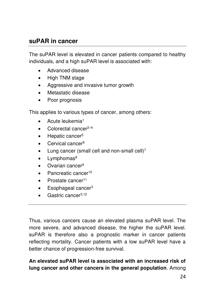# **suPAR in cancer**

The suPAR level is elevated in cancer patients compared to healthy individuals, and a high suPAR level is associated with:

- Advanced disease
- High TNM stage
- Aggressive and invasive tumor growth
- Metastatic disease
- Poor prognosis

This applies to various types of cancer, among others:

- Acute leukemia<sup>1</sup>
- Colorectal cancer $2-4$
- Hepatic cancer<sup>5</sup>
- Cervical cancer<sup>6</sup>
- Lung cancer (small cell and non-small cell) $<sup>7</sup>$ </sup>
- $\bullet$  Lymphomas<sup>8</sup>
- $\bullet$  Ovarian cancer<sup>9</sup>
- Pancreatic cancer<sup>10</sup>
- $\bullet$  Prostate cancer<sup>11</sup>
- Esophageal cancer<sup>3</sup>
- Gastric cancer<sup>3,12</sup>

Thus, various cancers cause an elevated plasma suPAR level. The more severe, and advanced disease, the higher the suPAR level. suPAR is therefore also a prognostic marker in cancer patients reflecting mortality. Cancer patients with a low suPAR level have a better chance of progression-free survival.

### **An elevated suPAR level is associated with an increased risk of lung cancer and other cancers in the general population**. Among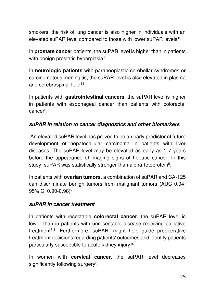smokers, the risk of lung cancer is also higher in individuals with an elevated suPAR level compared to those with lower suPAR levels<sup>13</sup>.

In **prostate cancer** patients, the suPAR level is higher than in patients with benign prostatic hyperplasia<sup>11</sup>.

In **neurologic patients** with paraneoplastic cerebellar syndromes or carcinomatous meningitis, the suPAR level is also elevated in plasma and cerebrospinal fluid<sup>14</sup> .

In patients with **gastrointestinal cancers**, the suPAR level is higher in patients with esophageal cancer than patients with colorectal cancer<sup>3</sup> .

#### **suPAR in relation to cancer diagnostics and other biomarkers**

 An elevated suPAR level has proved to be an early predictor of future development of hepatocellular carcinoma in patients with liver diseases. The suPAR level may be elevated as early as 1-7 years before the appearance of imaging signs of hepatic cancer. In this study, suPAR was statistically stronger than alpha-fetoprotein<sup>5</sup>.

In patients with **ovarian tumors**, a combination of suPAR and CA-125 can discriminate benign tumors from malignant tumors (AUC 0.94; 95% CI 0.90-0.98)<sup>9</sup> .

#### **suPAR in cancer treatment**

In patients with resectable **colorectal cancer**, the suPAR level is lower than in patients with unresectable disease receiving palliative treatment<sup>3,4</sup>. Furthermore, suPAR might help guide preoperative treatment decisions regarding patients' outcomes and identify patients particularly susceptible to acute kidney injury<sup>16</sup>.

In women with **cervical cancer**, the suPAR level decreases significantly following surgery<sup>6</sup>.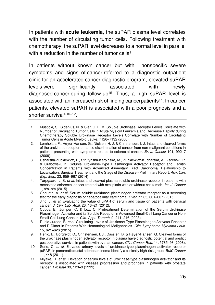In patients with **acute leukemia**, the suPAR plasma level correlates with the number of circulating tumor cells. Following treatment with chemotherapy, the suPAR level decreases to a normal level in parallel with a reduction in the number of tumor cells<sup>1</sup>.

In patients without known cancer but with nonspecific severe symptoms and signs of cancer referred to a diagnostic outpatient clinic for an accelerated cancer diagnostic program, elevated suPAR levels were significantly associated with newly diagnosed cancer during follow-up<sup>15</sup>. Thus, a high suPAR level is associated with an increased risk of finding cancerpatients<sup>15</sup>. In cancer patients, elevated suPAR is associated with a poor prognosis and a shorter survival4,10–<sup>12</sup> .

- 1. Mustjoki, S., Sidenius, N. & Sier, C. F. M. Soluble Urokinase Receptor Levels Correlate with Number of Circulating Tumor Cells in Acute Myeloid Leukemia and Decrease Rapidly during Chemotherapy Soluble Urokinase Receptor Levels Correlate with Number of Circulating Tumor Cells in Acute Myeloid Leuke. 7126–7132 (2000).
- 2. Lomholt, a F., Høyer-Hansen, G., Nielsen, H. J. & Christensen, I. J. Intact and cleaved forms of the urokinase receptor enhance discrimination of cancer from non-malignant conditions in patients presenting with symptoms related to colorectal cancer. *Br. J. Cancer* 101, 992–7 (2009).
- 3. Usnarska-Zubkiewicz, L., Strutyńska-Karpińska, M., Zubkiewicz-Kucharska, A., Zarębski, P. & Grabowski, K. Soluble Urokinase-Type Plasminogen Activator Receptor and Ferritin Concentration in Patients with Advanced Alimentary Tract Carcinoma. Relationship to Localisation, Surgical Treatment and the Stage of the Disease - Preliminary Report. *Adv. Clin. Exp. Med.* 23, 959–967 (2014).
- 4. Tarpgaard, L. S. *et al.* Intact and cleaved plasma soluble urokinase receptor in patients with metastatic colorectal cancer treated with oxaliplatin with or without cetuximab. *Int. J. Cancer* 1, n/a–n/a (2015).
- 5. Chounta, A. *et al.* Serum soluble urokinase plasminogen activator receptor as a screening test for the early diagnosis of hepatocellular carcinoma. *Liver Int.* 35, 601–607 (2015).
- 6. Jing, J. *et al.* Evaluating the value of uPAR of serum and tissue on patients with cervical cancer. *J. Clin. Lab. Anal.* 26, 16–21 (2012).
- 7. Cobos, E., Jumper, C. & Lox, C. Pretreatment Determination of the Serum Urokinase Plasminogen Activator and its Soluble Receptor in Advanced Small-Cell Lung Cancer or Non-Small-Cell Lung Cancer. *Clin. Appl. Thromb.* 9, 241–246 (2003).
- 8. Rubio-Jurado, B. *et al.* Circulating Levels of Urokinase-Type Plasminogen Activator Receptor and D-Dimer in Patients With Hematological Malignancies. *Clin. Lymphoma Myeloma Leuk.* 15, 621–626 (2015).
- 9. Henic, E., Borgfeldt, C., Christensen, I. J., Casslén, B. & Høyer-Hansen, G. Cleaved forms of the urokinase plasminogen activator receptor in plasma have diagnostic potential and predict postoperative survival in patients with ovarian cancer. *Clin. Cancer Res.* 14, 5785–93 (2008).
- 10. Sorio, C. *et al.* Elevated urinary levels of urokinase-type plasminogen activator receptor (uPAR) in pancreatic ductal adenocarcinoma identify a clinically high-risk group. *BMC Cancer* 11, 448 (2011).
- 11. Miyake, H. *et al.* Elevation of serum levels of urokinase-type plasminogen activator and its receptor is associated with disease progression and prognosis in patients with prostate cancer. *Prostate* 39, 123–9 (1999).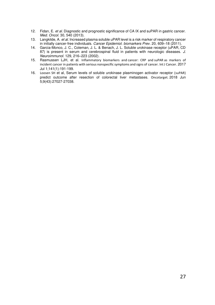- 12. Fidan, E. *et al.* Diagnostic and prognostic significance of CA IX and suPAR in gastric cancer. *Med. Oncol.* 30, 540 (2013).
- 13. Langkilde, A. *et al.* Increased plasma soluble uPAR level is a risk marker of respiratory cancer in initially cancer-free individuals. *Cancer Epidemiol. biomarkers Prev.* 20, 609–18 (2011).
- 14. Garcia-Monco, J. C., Coleman, J. L. & Benach, J. L. Soluble urokinase receptor (uPAR, CD 87) is present in serum and cerebrospinal fluid in patients with neurologic diseases. *J. Neuroimmunol.* 129, 216–223 (2002).
- 15. Rasmussen LJH, et al. Inflammatory biomarkers and cancer: CRP and suPAR as markers of incident cancer in patients with serious nonspecific symptoms and signs of cancer. Int J Cancer. 2017 Jul 1;141(1):191-199.
- 16. Loosen SH et al, Serum levels of soluble urokinase plasminogen activator receptor (suPAR) predict outcome after resection of colorectal liver metastases. Oncotarget. 2018 Jun 5;9(43):27027-27038.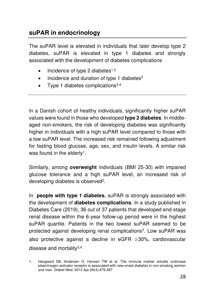# **suPAR in endocrinology**

The suPAR level is elevated in individuals that later develop type 2 diabetes, suPAR is elevated in type 1 diabetes and strongly associated with the development of diabetes complications

- $\bullet$  Incidence of type 2 diabetes<sup>1,2</sup>
- Incidence and duration of type 1 diabetes<sup>3</sup>
- Type 1 diabetes complications $3-4$

In a Danish cohort of healthy individuals, significantly higher suPAR values were found in those who developed **type 2 diabetes**. In middleaged non-smokers, the risk of developing diabetes was significantly higher in individuals with a high suPAR level compared to those with a low suPAR level. The increased risk remained following adjustment for fasting blood glucose, age, sex, and insulin levels. A similar risk was found in the elderly<sup>1</sup>.

Similarly, among **overweight** individuals (BMI 25-30) with impaired glucose tolerance and a high suPAR level, an increased risk of developing diabetes is observed<sup>2</sup>.

In **people with type 1 diabetes**, suPAR is strongly associated with the development of **diabetes complications**. In a study published in Diabetes Care (2019), 36 out of 37 patients that developed end-stage renal disease within the 6-year follow-up period were in the highest suPAR quartile. Patients in the two lowest suPAR seemed to be protected against developing renal complications<sup>3</sup>. Low suPAR was also protective against a decline in eGFR ≥30%, cardiovascular disease and mortality<sup>3,4.</sup>

<sup>1.</sup> Haugaard SB, Andersen O, Hansen TW et al. [The immune marker soluble urokinase](http://www.ncbi.nlm.nih.gov/pubmed/22050462)  [plasminogen activator receptor is associated with new-onset diabetes in non-smoking women](http://www.ncbi.nlm.nih.gov/pubmed/22050462)  [and men. D](http://www.ncbi.nlm.nih.gov/pubmed/22050462)iabet Med. 2012 Apr;29(4):479-487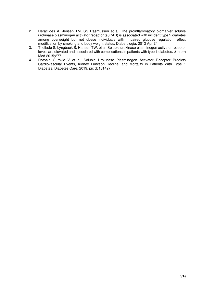- 2. Heraclides A, Jensen TM, SS Rasmussen et al. The proinflammatory biomarker soluble urokinase plasminogen activator receptor (suPAR) is associated with incident type 2 diabetes among overweight but not obese individuals with impaired glucose regulation: effect modification by smoking and body weight status. Diabetologia. 2013 Apr 24
- 3. Theilade S, Lyngbaek S, Hansen TW, et al. Soluble urokinase plasminogen activator receptor levels are elevated and associated with complications in patients with type 1 diabetes. *J* Intern Med 2015;277
- 4. Rotbain Curovic V et al, Soluble Urokinase Plasminogen Activator Receptor Predicts Cardiovascular Events, Kidney Function Decline, and Mortality in Patients With Type 1 Diabetes. Diabetes Care. 2019. pii: dc181427.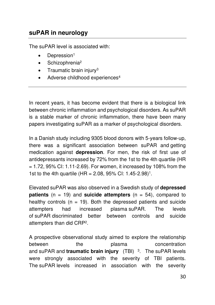# **suPAR in neurology**

The suPAR level is associated with:

- Depression<sup>1</sup>
- Schizophrenia<sup>2</sup>
- $\bullet$  Traumatic brain injury<sup>3</sup>
- Adverse childhood experiences<sup>4</sup>

In recent years, it has become evident that there is a biological link between chronic inflammation and psychological disorders. As suPAR is a stable marker of chronic inflammation, there have been many papers investigating suPAR as a marker of psychological disorders.

In a Danish study including 9305 blood donors with 5-years follow-up, there was a significant association between suPAR and getting medication against **depression**. For men, the risk of first use of antidepressants increased by 72% from the 1st to the 4th quartile (HR  $= 1.72$ , 95% CI: 1.11-2.69). For women, it increased by 108% from the 1st to the 4th quartile (HR = 2.08, 95% CI: 1.45-2.98)<sup>1</sup>.

Elevated suPAR was also observed in a Swedish study of **depressed patients** (n = 19) and **suicide attempters** (n = 54), compared to healthy controls ( $n = 19$ ). Both the depressed patients and suicide attempters had increased plasma suPAR. The levels of suPAR discriminated better between controls and suicide attempters than did CRP<sup>2</sup> .

A prospective observational study aimed to explore the relationship between the plasma concentration and suPAR and **traumatic brain injury** (TBI)<sup>3</sup>. The suPAR levels were strongly associated with the severity of TBI patients. The suPAR levels increased in association with the severity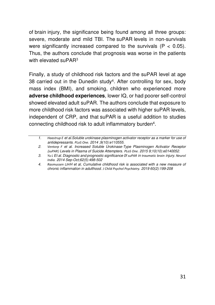of brain injury, the significance being found among all three groups: severe, moderate and mild TBI. The suPAR levels in non-survivals were significantly increased compared to the survivals  $(P < 0.05)$ . Thus, the authors conclude that prognosis was worse in the patients with elevated suPAR<sup>3</sup>

Finally, a study of childhood risk factors and the suPAR level at age 38 carried out in the Dunedin study<sup>4</sup>. After controlling for sex, body mass index (BMI), and smoking, children who experienced more **adverse childhood experiences**, lower IQ, or had poorer self-control showed elevated adult suPAR. The authors conclude that exposure to more childhood risk factors was associated with higher suPAR levels, independent of CRP, and that suPAR is a useful addition to studies connecting childhood risk to adult inflammatory burden<sup>4</sup> .

*<sup>1.</sup> [Haastrup E](https://www.ncbi.nlm.nih.gov/pubmed/?term=Haastrup%20E%5BAuthor%5D&cauthor=true&cauthor_uid=25329298) et al.Soluble urokinase plasminogen activator receptor as a marker for use of antidepressants. [PLoS One.](https://www.ncbi.nlm.nih.gov/pubmed/25329298) 2014 ;9(10):e110555.* 

*<sup>2.</sup> [Ventorp F](https://www.ncbi.nlm.nih.gov/pubmed/?term=Ventorp%20F%5BAuthor%5D&cauthor=true&cauthor_uid=26451727) et al. Increased Soluble Urokinase-Type Plasminogen Activator Receptor (suPAR) Levels in Plasma of Suicide Attempters. [PLoS One.](https://www.ncbi.nlm.nih.gov/pubmed/26451727) 2015 9;10(10):e0140052.* 

*<sup>3.</sup> [Yu L](https://www.ncbi.nlm.nih.gov/pubmed/?term=Yu%20L%5BAuthor%5D&cauthor=true&cauthor_uid=25387618) Et al. Diagnostic and prognostic significance 0f suPAR in traumatic brain injury. [Neurol](https://www.ncbi.nlm.nih.gov/pubmed/?term=supar+traumatic+brain)  [India.](https://www.ncbi.nlm.nih.gov/pubmed/?term=supar+traumatic+brain) 2014 Sep-Oct;62(5):498-502* 

*<sup>4.</sup> Rasmussen LJHH et al, Cumulative childhood risk is associated with a new measure of chronic inflammation in adulthood. [J Child Psychol Psychiatry.](https://www.ncbi.nlm.nih.gov/pubmed/?term=supar+dunedin) 2019 60(2):199-208*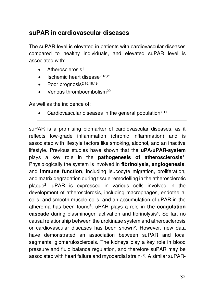# **suPAR in cardiovascular diseases**

The suPAR level is elevated in patients with cardiovascular diseases compared to healthy individuals, and elevated suPAR level is associated with:

- Atherosclerosis<sup>1</sup>
- $\bullet$  Ischemic heart disease<sup>2,13,21</sup>
- $\bullet$  Poor prognosis<sup>2,16,18,19</sup>
- Venous thromboembolism<sup>20</sup>

As well as the incidence of:

Cardiovascular diseases in the general population<sup>7-11</sup>

suPAR is a promising biomarker of cardiovascular diseases, as it reflects low-grade inflammation (chronic inflammation) and is associated with lifestyle factors like smoking, alcohol, and an inactive lifestyle. Previous studies have shown that the **uPA/uPAR-system** plays a key role in the **pathogenesis of atherosclerosis**[1](#page-35-0) . Physiologically the system is involved in **fibrinolysis**, **angiogenesis**, and **immune function**, including leucocyte migration, proliferation, and matrix degradation during tissue remodelling in the atherosclerotic plaque<sup>2</sup> [.](#page-35-1) uPAR is expressed in various cells involved in the development of atherosclerosis, including macrophages, endothelial cells, and smooth muscle cells, and an accumulation of uPAR in the atheroma has been found[3](#page-35-2) . uPAR plays a role in **the coagulation**  cascade during plasminogen activation and fibrinolysis<sup>[4](#page-35-3)</sup>. So far, no causal relationship between the urokinase system and atherosclerosis or cardiovascular diseases has been shown<sup>[2](#page-35-1)</sup>. However, new data have demonstrated an association between suPAR and focal segmental glomerulosclerosis. The kidneys play a key role in blood pressure and fluid balance regulation, and therefore suPAR may be associated with heart failure and myocardial strain<sup>[5,](#page-36-0)[6](#page-36-1)</sup>. A similar suPAR-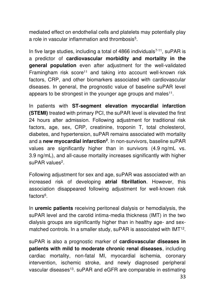mediated effect on endothelial cells and platelets may potentially play a role in vascular inflammation and thrombosis<sup>5</sup>[.](#page-36-0)

In five large studies, including a total of 4866 individuals<sup> $7-11$ </sup>, suPAR is a predictor of **cardiovascular morbidity and mortality in the general population** even after adjustment for the well-validated Framingham risk score<sup>[11](#page-36-3)</sup> and taking into account well-known risk factors, CRP, and other biomarkers associated with cardiovascular diseases. In general, the prognostic value of baseline suPAR level appears to be strongest in the younger age groups and males $11$ .

In patients with **ST-segment elevation myocardial infarction (STEMI)** treated with primary PCI, the suPAR level is elevated the first 24 hours after admission. Following adjustment for traditional risk factors, age, sex, CRP, creatinine, troponin T, total cholesterol, diabetes, and hypertension, suPAR remains associated with mortality and a **new myocardial infarction<sup>2</sup>** [.](#page-35-1) In non-survivors, baseline suPAR values are significantly higher than in survivors (4.9 ng/mL vs. 3.9 ng/mL), and all-cause mortality increases significantly with higher suPAR values<sup>[2](#page-35-1)</sup>.

Following adjustment for sex and age, suPAR was associated with an increased risk of developing **atrial fibrillation**. However, this association disappeared following adjustment for well-known risk factors<sup>6</sup>[.](#page-36-1)

In **uremic patients** receiving peritoneal dialysis or hemodialysis, the suPAR level and the carotid intima-media thickness (IMT) in the two dialysis groups are significantly higher than in healthy age- and sex-matched controls. In a smaller study, suPAR is associated with IMT<sup>[12](#page-36-4)</sup>.

suPAR is also a prognostic marker of **cardiovascular diseases in patients with mild to moderate chronic renal diseases**, including cardiac mortality, non-fatal MI, myocardial ischemia, coronary intervention, ischemic stroke, and newly diagnosed peripheral vascular diseases<sup>[13](#page-36-5)</sup>. suPAR and eGFR are comparable in estimating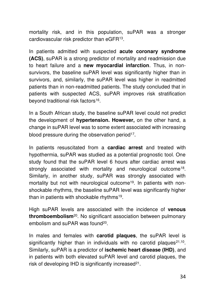mortality risk, and in this population, suPAR was a stronger cardiovascular risk predictor than eGFR[13](#page-36-5) .

In patients admitted with suspected **acute coronary syndrome (ACS)**, suPAR is a strong predictor of mortality and readmission due to heart failure and a **new myocardial infarction**. Thus, in nonsurvivors, the baseline suPAR level was significantly higher than in survivors, and, similarly, the suPAR level was higher in readmitted patients than in non-readmitted patients. The study concluded that in patients with suspected ACS, suPAR improves risk stratification beyond traditional risk factors<sup>[16](#page-36-6)</sup>.

In a South African study, the baseline suPAR level could not predict the development of **hypertension. However,** on the other hand, a change in suPAR level was to some extent associated with increasing blood pressure during the observation period<sup>[17](#page-36-7)</sup>.

In patients resuscitated from a **cardiac arrest** and treated with hypothermia, suPAR was studied as a potential prognostic tool. One study found that the suPAR level 6 hours after cardiac arrest was strongly associated with mortality and neurological outcome<sup>[18](#page-36-8)</sup>. Similarly, in another study, suPAR was strongly associated with mortality but not with neurological outcome<sup>[19](#page-36-9)</sup>. In patients with nonshockable rhythms, the baseline suPAR level was significantly higher than in patients with shockable rhythms<sup>[19](#page-36-9)</sup>.

High suPAR levels are associated with the incidence of **venous thromboembolism**[20](#page-36-10). No significant association between pulmonary embolism and suPAR was found<sup>[20](#page-36-10)</sup>.

In males and females with **carotid plaques**, the suPAR level is significantly higher than in individuals with no carotid plaques $21,10$  $21,10$ . Similarly, suPAR is a predictor of **ischemic heart disease (IHD)**, and in patients with both elevated suPAR level and carotid plaques, the risk of developing IHD is significantly increased $21$ .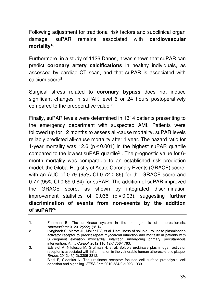Following adjustment for traditional risk factors and subclinical organ damage, suPAR remains associated with **cardiovascular mortality**[10](#page-36-12) .

Furthermore, in a study of 1126 Danes, it was shown that suPAR can predict **coronary artery calcifications** in healthy individuals, as assessed by cardiac CT scan, and that suPAR is associated with calcium score<sup>8</sup>[.](#page-36-13)

Surgical stress related to **coronary bypass** does not induce significant changes in suPAR level 6 or 24 hours postoperatively compared to the preoperative value<sup>[23](#page-36-14)</sup>.

Finally, suPAR levels were determined in 1314 patients presenting to the emergency department with suspected AMI. Patients were followed up for 12 months to assess all-cause mortality. suPAR levels reliably predicted all-cause mortality after 1 year. The hazard ratio for 1-year mortality was 12.6 (p < 0.001) in the highest suPAR quartile compared to the lowest suPAR quartile<sup>[24](#page-36-14)</sup>. The prognostic value for 6month mortality was comparable to an established risk prediction model, the Global Registry of Acute Coronary Events (GRACE) score, with an AUC of 0.79 (95% CI 0.72-0.86) for the GRACE score and 0.77 (95% CI 0.69-0.84) for suPAR. The addition of suPAR improved the GRACE score, as shown by integrated discrimination improvement statistics of 0.036 (p = 0.03), suggesting **further discrimination of events from non-events by the addition of suPAR**[24](#page-36-14)

<span id="page-35-0"></span><sup>1.</sup> Fuhrman B. The urokinase system in the pathogenesis of atherosclerosis. *Atherosclerosis.* 2012;222(1):8-14.

<span id="page-35-1"></span><sup>2.</sup> Lyngbaek S, Marott JL, Moller DV, et al. Usefulness of soluble urokinase plasminogen activator receptor to predict repeat myocardial infarction and mortality in patients with ST-segment elevation myocardial infarction undergoing primary percutaneous intervention. *Am J Cardiol.* 2012;110(12):1756-1763.

<span id="page-35-2"></span><sup>3.</sup> Edsfeldt A, Nitulescu M, Grufman H, et al. Soluble urokinase plasminogen activator receptor is associated with inflammation in the vulnerable human atherosclerotic plaque. *Stroke.* 2012;43(12):3305-3312.

<span id="page-35-3"></span><sup>4.</sup> Blasi F, Sidenius N. The urokinase receptor: focused cell surface proteolysis, cell adhesion and signaling. *FEBS Lett.* 2010;584(9):1923-1930.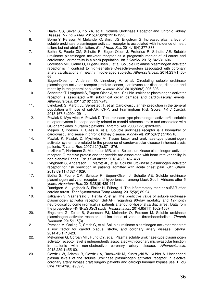- <span id="page-36-0"></span>5. Hayek SS, Sever S, Ko YA, et al. Soluble Urokinase Receptor and Chronic Kidney Disease. *N Engl J Med.* 2015;373(20):1916-1925.
- <span id="page-36-1"></span>6. Borne Y, Persson M, Melander O, Smith JG, Engstrom G. Increased plasma level of soluble urokinase plasminogen activator receptor is associated with incidence of heart failure but not atrial fibrillation. *Eur J Heart Fail.* 2014;16(4):377-383.
- <span id="page-36-2"></span>7. Botha S, Fourie CM, Schutte R, Eugen-Olsen J, Pretorius R, Schutte AE. Soluble urokinase plasminogen activator receptor as a prognostic marker of all-cause and cardiovascular mortality in a black population. *Int J Cardiol.* 2015;184:631-636.
- <span id="page-36-13"></span>8. Sorensen MH, Gerke O, Eugen-Olsen J, et al. Soluble urokinase plasminogen activator receptor is in contrast to high-sensitive C-reactive-protein associated with coronary artery calcifications in healthy middle-aged subjects. *Atherosclerosis.* 2014;237(1):60- 66.
- 9. Eugen-Olsen J, Andersen O, Linneberg A, et al. Circulating soluble urokinase plasminogen activator receptor predicts cancer, cardiovascular disease, diabetes and mortality in the general population. *J Intern Med.* 2010;268(3):296-308.
- <span id="page-36-12"></span>10. Sehestedt T, Lyngbaek S, Eugen-Olsen J, et al. Soluble urokinase plasminogen activator receptor is associated with subclinical organ damage and cardiovascular events. *Atherosclerosis.* 2011;216(1):237-243.
- <span id="page-36-3"></span>11. Lyngbaek S, Marott JL, Sehestedt T, et al. Cardiovascular risk prediction in the general population with use of suPAR, CRP, and Framingham Risk Score. *Int J Cardiol.*  2013;167(6):2904-2911.
- <span id="page-36-4"></span>12. Pawlak K, Mysliwiec M, Pawlak D. The urokinase-type plasminogen activator/its soluble receptor system is independently related to carotid atherosclerosis and associated with CC-chemokines in uraemic patients. *Thromb Res.* 2008;122(3):328-335.
- <span id="page-36-5"></span>13. Meijers B, Poesen R, Claes K, et al. Soluble urokinase receptor is a biomarker of cardiovascular disease in chronic kidney disease. *Kidney Int.* 2015;87(1):210-216.
- 14. Pawlak K, Pawlak D, Mysliwiec M. Tissue factor and urokinase-type plasminogen activator system are related to the presence of cardiovascular disease in hemodialysis patients. *Thromb Res.* 2007;120(6):871-876.
- 15. Intzilakis T, Hartmann G, Mouridsen MR, et al. Soluble urokinase plasminogen activator receptor, C-reactive protein and triglyceride are associated with heart rate variability in non-diabetic Danes. *Eur J Clin Invest.* 2013;43(5):457-468.
- <span id="page-36-6"></span>16. Lyngbaek S, Andersson C, Marott JL, et al. Soluble urokinase plasminogen activator receptor for risk prediction in patients admitted with acute chest pain. *Clin Chem.*  2013;59(11):1621-1629.
- <span id="page-36-7"></span>17. Botha S, Fourie CM, Schutte R, Eugen-Olsen J, Schutte AE. Soluble urokinase plasminogen activator receptor and hypertension among black South Africans after 5 years. *Hypertens Res.* 2015;38(6):439-444.
- <span id="page-36-8"></span>18. Rundgren M, Lyngbaek S, Fisker H, Friberg H, The inflammatory marker suPAR after cardiac arrest. *Ther Hypothermia Temp Manag.* 2015;5(2):89-94.
- <span id="page-36-9"></span>19. Jalkanen V, Vaahersalo J, Pettila V, et al. The predictive value of soluble urokinase plasminogen activator receptor (SuPAR) regarding 90-day mortality and 12-month neurological outcome in critically ill patients after out-of-hospital cardiac arrest. Data from the prospective FINNRESUSCI study. *Resuscitation.* 2014;85(11):1562-1567.
- <span id="page-36-10"></span>20. Engstrom G, Zoller B, Svensson PJ, Melander O, Persson M. Soluble urokinase plasminogen activator receptor and incidence of venous thromboembolism. *Thromb Haemost.* 2015;115(3).
- <span id="page-36-11"></span>21. Persson M, Ostling G, Smith G, et al. Soluble urokinase plasminogen activator receptor: a risk factor for carotid plaque, stroke, and coronary artery disease. *Stroke.*  2014;45(1):18-23.
- 22. Mekonnen G, Corban MT, Hung OY, et al. Plasma soluble urokinase-type plasminogen activator receptor level is independently associated with coronary microvascular function in patients with non-obstructive coronary artery disease. *Atherosclerosis.*  2015;239(1):55-60.
- <span id="page-36-14"></span>23. Gozdzik W, Adamik B, Gozdzik A, Rachwalik M, Kustrzycki W, Kubler A. Unchanged plasma levels of the soluble urokinase plasminogen activator receptor in elective coronary artery bypass graft surgery patients and cardiopulmonary bypass use. PLoS One. 2014;9(6):e98923.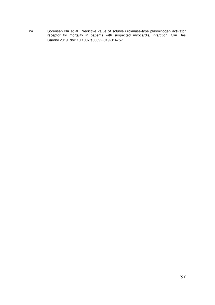24 [Sörensen NA](https://www.ncbi.nlm.nih.gov/pubmed/?term=S%C3%B6rensen%20NA%5BAuthor%5D&cauthor=true&cauthor_uid=30989318) et al. Predictive value of soluble urokinase-type plasminogen activator receptor for mortality in patients with suspected myocardial infarction. Clin Res Cardiol.2019 doi: 10.1007/s00392-019-01475-1.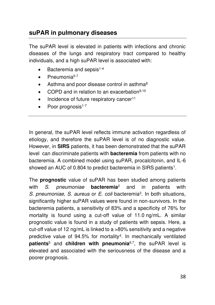# **suPAR in pulmonary diseases**

The suPAR level is elevated in patients with infections and chronic diseases of the lungs and respiratory tract compared to healthy individuals, and a high suPAR level is associated with:

- $\bullet$  Bacteremia and sepsis<sup>1-4</sup>
- $\bullet$  Pneumonia<sup>5-7</sup>
- Asthma and poor disease control in asthma<sup>8</sup>
- COPD and in relation to an exacerbation<sup>9,10</sup>
- Incidence of future respiratory cancer<sup>11</sup>
- Poor prognosis<sup>1-7</sup>

In general, the suPAR level reflects immune activation regardless of etiology, and therefore the suPAR level is of no diagnostic value. However, in **SIRS** patients, it has been demonstrated that the suPAR level can discriminate patients with **bacteremia** from patients with no bacteremia. A combined model using suPAR, procalcitonin, and IL-6 showed an AUC of 0.804 to predict bacteremia in SIRS patients<sup>1</sup>.

The **prognostic** value of suPAR has been studied among patients with *S. pneumoniae* **bacteremia**<sup>2</sup> and in patients with S. pneumoniae, S. aureus or E. coli bacteremia<sup>3</sup>. In both situations, significantly higher suPAR values were found in non-survivors. In the bacteremia patients, a sensitivity of 83% and a specificity of 76% for mortality is found using a cut-off value of 11.0 ng/mL. A similar prognostic value is found in a study of patients with sepsis. Here, a cut-off value of 12 ng/mL is linked to a >80% sensitivity and a negative predictive value of 94.5% for mortality<sup>4</sup>. In mechanically ventilated **patients**<sup>5</sup> and **children with pneumonia**6,7, the suPAR level is elevated and associated with the seriousness of the disease and a poorer prognosis.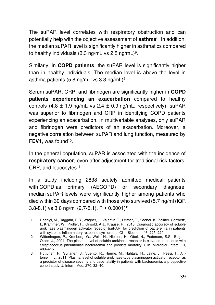The suPAR level correlates with respiratory obstruction and can potentially help with the objective assessment of **asthma**<sup>8</sup> . In addition, the median suPAR level is significantly higher in asthmatics compared to healthy individuals (3.3 ng/mL vs 2.5 ng/mL)<sup>9</sup>.

Similarly, in **COPD patients**, the suPAR level is significantly higher than in healthy individuals. The median level is above the level in asthma patients (5.8 ng/mL vs 3.3 ng/mL)<sup>9</sup>.

Serum suPAR, CRP, and fibrinogen are significantly higher in **COPD patients experiencing an exacerbation** compared to healthy controls  $(4.8 \pm 1.9 \text{ ng/mL}$  vs  $2.4 \pm 0.9 \text{ ng/mL}$ , respectively). suPAR was superior to fibrinogen and CRP in identifying COPD patients experiencing an exacerbation. In multivariable analyses, only suPAR and fibrinogen were predictors of an exacerbation. Moreover, a negative correlation between suPAR and lung function, measured by **FEV1**, was found<sup>10</sup>.

In the general population, suPAR is associated with the incidence of **respiratory cancer**, even after adjustment for traditional risk factors, CRP, and leucocytes<sup>11</sup>.

In a study including 2838 acutely admitted medical patients with COPD as primary (AECOPD) or secondary diagnose, median suPAR levels were significantly higher among patients who died within 30 days compared with those who survived (5.7 ng/ml (IQR 3.8-8.1) vs 3.6 ng/ml  $(2.7-5.1)$ , P < 0.0001)<sup>12</sup>

<sup>1.</sup> Hoenigl, M., Raggam, R.B., Wagner, J., Valentin, T., Leitner, E., Seeber, K., Zollner- Schwetz, I., Krammer, W., Prüller, F., Grisold, A.J., Krause, R., 2013. Diagnostic accuracy of soluble urokinase plasminogen activator receptor (suPAR) for prediction of bacteremia in patients with systemic inflammatory response syn- drome. Clin. Biochem. 46, 225–229.

<sup>2.</sup> Wittenhagen, P., Kronborg, G., Weis, N., Nielsen, H., Obel, N., Pedersen, S.S., Eugen-Olsen, J., 2004. The plasma level of soluble urokinase receptor is elevated in patients with Streptococcus pneumoniae bacteraemia and predicts mortality. Clin. Microbiol. Infect. 10, 409–415.

<sup>3.</sup> Huttunen, R., Syrjanen, J., Vuento, R., Hurme, M., Huhtala, H., Laine, J., Pessi, T., Aittoniemi, J., 2011. Plasma level of soluble urokinase-type plasminogen activator receptor as a predictor of disease severity and case fatality in patients with bacteraemia: a prospective cohort study. J. Intern. Med. 270, 32–40.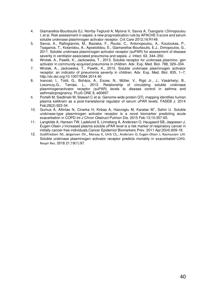- 4. Giamarellos-Bourboulis EJ, Norrby-Teglund A, Mylona V, Savva A, Tsangaris I,Dimopoulou I, et al. Risk assessment in sepsis: a new prognostication rule by APACHE II score and serum soluble urokinase plasminogen activator receptor. Crit Care 2012;16:R149.
- 5. Savva, A., Raftogiannis, M., Baziaka, F., Routsi, C., Antonopoulou, A., Koutoukas, P., Tsaganos, T., Kotanidou, A., Apostolidou, E., Giamarellos-Bourboulis, E.J., Dimopoulos, G., 2011. Soluble urokinase plasminogen activator receptor (suPAR) for assessment of disease severity in ventilator-associated pneumonia and sepsis. J. Infect. 63, 344–350.
- 6. Wrotek, A., Pawlik, K., Jackowska, T., 2013. Soluble receptor for urokinase plasmino- gen activator in community-acquired pneumonia in children. Adv. Exp. Med. Biol. 788, 329–334.
- 7. Wrotek, A., Jackowska, T., Pawlik, K., 2015. Soluble urokinase plasminogen activator receptor: an indicator of pneumonia severity in children. Adv. Exp. Med. Biol. 835, 1–7, http://dx.doi.org/10.1007/5584 2014 40
- 8. Ivancsó, I., Toldi, G., Bohács, A., Eszes, N., Müller, V., Rigó Jr., J., Vásárhelyi, B., Losonczy,G., Tamási, L., 2013. Relationship of circulating soluble urokinase plasminogenactivator receptor (suPAR) levels to disease control in asthma and asthmaticpregnancy. PLoS ONE 8, e60697.
- 9. Portelli M, Siedlinski M, Stewart C et al. Genome-wide protein QTL mapping identifies human plasma kallikrein as a post-translational regulator of serum uPAR levels. FASEB J. 2014 Feb;28(2):923-34
- 10. [Gumus A,](http://www.ncbi.nlm.nih.gov/pubmed/?term=Gumus%20A%5BAuthor%5D&cauthor=true&cauthor_uid=25709430) [Altintas N,](http://www.ncbi.nlm.nih.gov/pubmed/?term=Altintas%20N%5BAuthor%5D&cauthor=true&cauthor_uid=25709430) [Cinarka H,](http://www.ncbi.nlm.nih.gov/pubmed/?term=Cinarka%20H%5BAuthor%5D&cauthor=true&cauthor_uid=25709430) [Kirbas A,](http://www.ncbi.nlm.nih.gov/pubmed/?term=Kirbas%20A%5BAuthor%5D&cauthor=true&cauthor_uid=25709430) [Hazıroglu M](http://www.ncbi.nlm.nih.gov/pubmed/?term=Haz%C4%B1roglu%20M%5BAuthor%5D&cauthor=true&cauthor_uid=25709430), [Karatas M](http://www.ncbi.nlm.nih.gov/pubmed/?term=Karatas%20M%5BAuthor%5D&cauthor=true&cauthor_uid=25709430)<sup>1</sup> , [Sahin U.](http://www.ncbi.nlm.nih.gov/pubmed/?term=Sahin%20U%5BAuthor%5D&cauthor=true&cauthor_uid=25709430) Soluble urokinase-type plasminogen activator receptor is a novel biomarker predicting acute exacerbation in COP[D.Int J Chron Obstruct Pulmon Dis. 2](http://www.ncbi.nlm.nih.gov/pubmed/25709430/)015 Feb 13;10:357-65.
- 11. Langkilde A, Hansen TW, Ladelund S, Linneberg A, Andersen O, Haugaard SB, Jeppesen J, Eugen-Olsen J Increased plasma soluble uPAR level is a risk marker of respiratory cancer in initially cancer-free individuals.Cancer Epidemiol Biomarkers Prev. 2011 Apr;20(4):609-18.
- 12. [Godtfredsen NS](https://www.ncbi.nlm.nih.gov/pubmed/?term=Godtfredsen%20NS%5BAuthor%5D&cauthor=true&cauthor_uid=29783959), [Jørgensen DV](https://www.ncbi.nlm.nih.gov/pubmed/?term=J%C3%B8rgensen%20DV%5BAuthor%5D&cauthor=true&cauthor_uid=29783959),, [Marsaa K](https://www.ncbi.nlm.nih.gov/pubmed/?term=Marsaa%20K%5BAuthor%5D&cauthor=true&cauthor_uid=29783959), [Ulrik CS](https://www.ncbi.nlm.nih.gov/pubmed/?term=Ulrik%20CS%5BAuthor%5D&cauthor=true&cauthor_uid=29783959),, [Andersen O](https://www.ncbi.nlm.nih.gov/pubmed/?term=Andersen%20O%5BAuthor%5D&cauthor=true&cauthor_uid=29783959), [Eugen-Olsen J](https://www.ncbi.nlm.nih.gov/pubmed/?term=Eugen-Olsen%20J%5BAuthor%5D&cauthor=true&cauthor_uid=29783959), [Rasmussen LJH](https://www.ncbi.nlm.nih.gov/pubmed/?term=Rasmussen%20LJH%5BAuthor%5D&cauthor=true&cauthor_uid=29783959). Soluble urokinase plasminogen activator receptor predicts mortality in exacerbated COPD. [Respir Res.](https://www.ncbi.nlm.nih.gov/pubmed/29783959) 2018 21;19(1):97.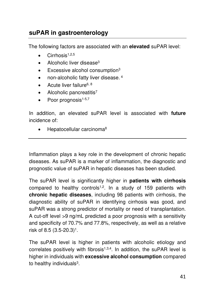# **suPAR in gastroenterology**

The following factors are associated with an **elevated** suPAR level:

- $\bullet$  Cirrhosis<sup>1,2,5</sup>
- $\bullet$  Alcoholic liver disease<sup>3</sup>
- Excessive alcohol consumption<sup>3</sup>
- non-alcoholic fatty liver disease. 4
- Acute liver failure<sup>6, 8</sup>
- Alcoholic pancreatitis<sup>7</sup>
- Poor prognosis $1-5,7$

In addition, an elevated suPAR level is associated with **future** incidence of:

• Hepatocellular carcinoma<sup>8</sup>

Inflammation plays a key role in the development of chronic hepatic diseases. As suPAR is a marker of inflammation, the diagnostic and prognostic value of suPAR in hepatic diseases has been studied.

The suPAR level is significantly higher in **patients with cirrhosis** compared to healthy controls<sup>1,2</sup>. In a study of 159 patients with **chronic hepatic diseases**, including 98 patients with cirrhosis, the diagnostic ability of suPAR in identifying cirrhosis was good, and suPAR was a strong predictor of mortality or need of transplantation. A cut-off level >9 ng/mL predicted a poor prognosis with a sensitivity and specificity of 70.7% and 77.8%, respectively, as well as a relative risk of 8.5 (3.5-20.3)<sup>1</sup> .

The suPAR level is higher in patients with alcoholic etiology and correlates positively with fibrosis<sup>1,3,4</sup>. In addition, the suPAR level is higher in individuals with **excessive alcohol consumption** compared to healthy individuals<sup>3</sup>.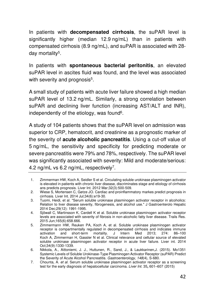In patients with **decompensated cirrhosis**, the suPAR level is significantly higher (median 12.9 ng/mL) than in patients with compensated cirrhosis (8.9 ng/mL), and suPAR is associated with 28 day mortality<sup>5</sup> .

In patients with **spontaneous bacterial peritonitis**, an elevated suPAR level in ascites fluid was found, and the level was associated with severity and prognosis<sup>5</sup>.

A small study of patients with acute liver failure showed a high median suPAR level of 13.2 ng/mL. Similarly, a strong correlation between suPAR and declining liver function (increasing AST/ALT and INR), independently of the etiology, was found<sup>6</sup>.

A study of 104 patients shows that the suPAR level on admission was superior to CRP, hematocrit, and creatinine as a prognostic marker of the severity of **acute alcoholic pancreatitis**. Using a cut-off value of 5 ng/mL, the sensitivity and specificity for predicting moderate or severe pancreatitis were 79% and 78%, respectively. The suPAR level was significantly associated with severity: Mild and moderate/serious: 4.2 ng/mL vs 6.2 ng/mL, respectively<sup>7</sup>.

- 1. Zimmerman HW, Koch A, Seidler S et al. Circulating soluble urokinase plasminogen activator is elevated in patients with chronic liver disease, discriminates stage and etiology of cirrhosis ans predicts prognosis. Liver Int. 2012 Mar;32(3):500-509.
- 2. Wiese S, Mortensen C, Gøtze JO. Cardiac and proinflammatory markes predict prognosis in cirrhosis. Liver Int. 2014 Jul;34(6):e19-30.
- 3. Tuomi, Heidi, et al. "Serum soluble urokinase plasminogen activator receptor in alcoholics: Relation to liver disease severity, fibrogenesis, and alcohol use." J Gastroenterolo Hepatic 2014 Dec;29(12): 1991-1995.
- 4. Sjöwall C, Martinsson K, Cardell K et al. Soluble urokinase plasminogen activator receptor levels are associated with severity of fibrosis in non-alcoholic fatty liver disease. Trails Res. 2015 Jun;165(6):658.666.
- 5. Zimmermann HW, Reuken PA, Koch A, et al. Soluble urokinase plasminogen activator receptor is compartmentally regulated in decompensated cirrhosis and indicates immune activation and short-term mortality. J Intern Med 2013; 274: 86–100 Koch A, Zimmerman H, Gassler N et al. Clinical relevance and cellular source of elevated soluble urokinase plasminogen activator receptor in acute liver failure. Liver int. 2014 Oct;34(9):1330-1339.
- 6. Nikkola, A., Aittoniemi, J. J., Huttunen, R., Sand, J., & Laukkarinen,J. (2015). Mo1351 Systemic Levels of Soluble Urokinase-Type Plasminogen Activator Receptor (suPAR) Predict the Severity of Acute Alcohol Pancreatitis. *Gastroenterology*, *148*(4), S-680.
- 7. Chounta, A. *et al.* Serum soluble urokinase plasminogen activator receptor as a screening test for the early diagnosis of hepatocellular carcinoma. *Liver Int.* 35**,** 601–607 (2015)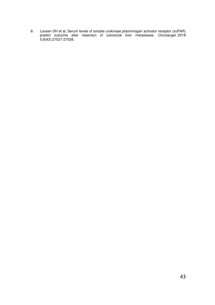8. [Loosen SH](https://www.ncbi.nlm.nih.gov/pubmed/?term=Loosen%20SH%5BAuthor%5D&cauthor=true&cauthor_uid=29930748) et al, Serum levels of soluble urokinase plasminogen activator receptor (suPAR) predict outcome after resection of colorectal liver metastases. [Oncotarget. 2](https://www.ncbi.nlm.nih.gov/pubmed/29930748)018 5;9(43):27027-27038.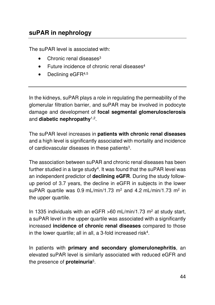The suPAR level is associated with:

- $\bullet$  Chronic renal diseases<sup>3</sup>
- Future incidence of chronic renal diseases<sup>4</sup>
- $\bullet$  Declining eGFR<sup>4,5</sup>

In the kidneys, suPAR plays a role in regulating the permeability of the glomerular filtration barrier, and suPAR may be involved in podocyte damage and development of **focal segmental glomerulosclerosis** and **diabetic nephropathy**1,2 .

The suPAR level increases in **patients with chronic renal diseases** and a high level is significantly associated with mortality and incidence of cardiovascular diseases in these patients $3$ .

The association between suPAR and chronic renal diseases has been further studied in a large study $^4$ . It was found that the suPAR level was an independent predictor of **declining eGFR**. During the study followup period of 3.7 years, the decline in eGFR in subjects in the lower suPAR quartile was 0.9 mL/min/1.73 m<sup>2</sup> and 4.2 mL/min/1.73 m<sup>2</sup> in the upper quartile.

In 1335 individuals with an eGFR  $>60$  mL/min/1.73 m<sup>2</sup> at study start, a suPAR level in the upper quartile was associated with a significantly increased **incidence of chronic renal diseases** compared to those in the lower quartile; all in all, a 3-fold increased risk<sup>4</sup>.

In patients with **primary and secondary glomerulonephritis**, an elevated suPAR level is similarly associated with reduced eGFR and the presence of **proteinuria**<sup>5</sup> .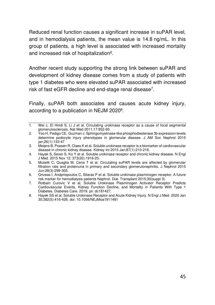Reduced renal function causes a significant increase in suPAR level, and in hemodialysis patients, the mean value is 14.8 ng/mL. In this group of patients, a high level is associated with increased mortality and increased risk of hospitalization<sup>6</sup>.

Another recent study supporting the strong link between suPAR and development of kidney disease comes from a study of patients with type 1 diabetes who were elevated suPAR associated with increased risk of fast eGFR decline and end-stage renal disease<sup>7</sup> .

Finally, suPAR both associates and causes acute kidney injury, according to a publication in NEJM 2020<sup>8</sup>.

<sup>1.</sup> Wei c, El Hindi S, Li J et al. Circulating urokinase receptor as a cause of focal segmental glomerulosclerosis. Nat Med 2011;17:952-60.

<sup>2.</sup> Yoo H, Pedigo CE, Guzman J. Sphingomyelinase-like phosphodiesterase 3b expression levels determine podocyte injury phenotypes in glomerular disease. J AM Soc Nephrol 2015 jan;26(1):133-47

<sup>3.</sup> Meijers B, Poesen R, Claes K et al. Soluble urokinase receptor is a biomarker of cardiovascular disease in chronic kidney disease. Kidney Int 2015 Jan;87(1):210-216.

<sup>4.</sup> Hayek S, Sever S, Ko Y et al. Soluble urokinase receptor and chronic kidney disease. N Engl J Med. 2015 Nov 12; 373(20):1916-25.

<sup>5.</sup> Musetti C, Quaglia M, Cena T et al. Circulating suPAR levels are affected by glomerular filtration rate and proteinuria in primary and secondary glomerulonephritis. J Nephrol 2015 Jun;28(3):299-305.

<sup>6.</sup> Griveas I, Andpriopoulos C, Sitaras P et al. Soluble urokinase plasminogen receptor: A future risk marker for hemodialysis patients Nephrol. Dial. Transplant 2015;30(suppl 3)

<sup>7.</sup> [Rotbain Curovic V](https://www.ncbi.nlm.nih.gov/pubmed/?term=Rotbain%20Curovic%20V%5BAuthor%5D&cauthor=true&cauthor_uid=30885954) et al, Soluble Urokinase Plasminogen Activator Receptor Predicts Cardiovascular Events, Kidney Function Decline, and Mortality in Patients With Type 1 Diabetes[. Diabetes Care. 2](https://www.ncbi.nlm.nih.gov/pubmed/30885954)019. pii: dc181427.

<sup>8.</sup> Hayek SS et al, Soluble Urokinase Receptor and Acute Kidney Injury. N Engl J Med. 2020 Jan 30;382(5):416-426. doi: 10.1056/NEJMoa1911481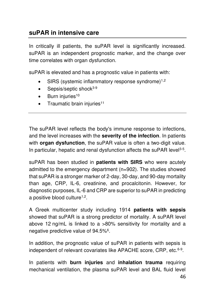# **suPAR in intensive care**

In critically ill patients, the suPAR level is significantly increased. suPAR is an independent prognostic marker, and the change over time correlates with organ dysfunction.

suPAR is elevated and has a prognostic value in patients with:

- SIRS (systemic inflammatory response syndrome) $1,2$
- Sepsis/septic shock $3-9$
- $\bullet$  Burn injuries<sup>10</sup>
- Traumatic brain injuries<sup>11</sup>

The suPAR level reflects the body's immune response to infections, and the level increases with the **severity of the infection**. In patients with **organ dysfunction**, the suPAR value is often a two-digit value. In particular, hepatic and renal dysfunction affects the suPAR level<sup>3-5</sup>.

suPAR has been studied in **patients with SIRS** who were acutely admitted to the emergency department (n=902). The studies showed that suPAR is a stronger marker of 2-day, 30-day, and 90-day mortality than age, CRP, IL-6, creatinine, and procalcitonin. However, for diagnostic purposes, IL-6 and CRP are superior to suPAR in predicting a positive blood culture<sup>1,2</sup>.

A Greek multicenter study including 1914 **patients with sepsis** showed that suPAR is a strong predictor of mortality. A suPAR level above 12 ng/mL is linked to a >80% sensitivity for mortality and a negative predictive value of 94.5%<sup>6</sup>.

In addition, the prognostic value of suPAR in patients with sepsis is independent of relevant covariates like APACHE score, CRP, etc.<sup>6-9</sup>.

In patients with **burn injuries** and **inhalation trauma** requiring mechanical ventilation, the plasma suPAR level and BAL fluid level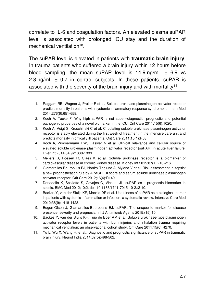correlate to IL-6 and coagulation factors. An elevated plasma suPAR level is associated with prolonged ICU stay and the duration of mechanical ventilation<sup>10</sup>.

The suPAR level is elevated in patients with **traumatic brain injury**. In trauma patients who suffered a brain injury within 12 hours before blood sampling, the mean suPAR level is  $14.9 \text{ ng/mL} \pm 6.9 \text{ vs.}$ 2.8 ng/mL  $\pm$  0.7 in control subjects. In these patients, suPAR is associated with the severity of the brain injury and with mortality<sup>11</sup>.

- 1. Raggam RB, Wagner J, Pruller F et al. Soluble urokinase plasminogen activator receptor predicts mortality in patients with systemic inflammatory response syndrome. J Intern Med 2014;276(6):651-658.
- 2. Koch A, Tacke F. Why high suPAR is not super--diagnostic, prognostic and potential pathogenic properties of a novel biomarker in the ICU. Crit Care 2011;15(6):1020.
- 3. Koch A, Voigt S, Kruschinski C et al. Circulating soluble urokinase plasminogen activator receptor is stably elevated during the first week of treatment in the intensive care unit and predicts mortality in critically ill patients. Crit Care 2011;15(1):R63.
- 4. Koch A, Zimmermann HW, Gassler N et al. Clinical relevance and cellular source of elevated soluble urokinase plasminogen activator receptor (suPAR) in acute liver failure. Liver Int 2014;34(9):1330-1339.
- 5. Meijers B, Poesen R, Claes K et al. Soluble urokinase receptor is a biomarker of cardiovascular disease in chronic kidney disease. Kidney Int 2015;87(1):210-216.
- 6. Giamarellos-Bourboulis EJ, Norrby-Teglund A, Mylona V et al. Risk assessment in sepsis: a new prognostication rule by APACHE II score and serum soluble urokinase plasminogen activator receptor. Crit Care 2012;16(4):R149.
- 7. Donadello K, Scolletta S, Covajes C, Vincent JL. suPAR as a prognostic biomarker in sepsis. BMC Med 2012;10:2. doi: 10.1186/1741-7015-10-2.:2-10.
- 8. Backes Y, van der Sluijs KF, Mackie DP et al. Usefulness of suPAR as a biological marker in patients with systemic inflammation or infection: a systematic review. Intensive Care Med 2012;38(9):1418-1428.
- 9. Eugen-Olsen J, Giamarellos-Bourboulis EJ. suPAR: The unspecific marker for disease presence, severity and prognosis. Int J Antimicrob Agents 2015;(15):10.
- 10. Backes Y, van der Sluijs KF, Tuip de Boer AM et al. Soluble urokinase-type plasminogen activator receptor levels in patients with burn injuries and inhalation trauma requiring mechanical ventilation: an observational cohort study. Crit Care 2011;15(6):R270.
- 11. Yu L, Wu X, Wang H, et al.. Diagnostic and prognostic significance of suPAR in traumatic brain injury. Neurol India 2014;62(5):498-502.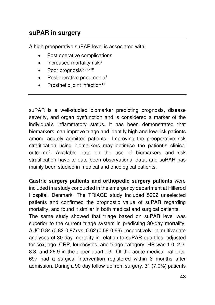# **suPAR in surgery**

A high preoperative suPAR level is associated with:

- Post operative complications
- $\bullet$  Increased mortality risk<sup>3</sup>
- $\bullet$  Poor prognosis $5,6,8-10$
- $\bullet$  Postoperative pneumonia<sup>7</sup>
- Prosthetic ioint infection $11$

suPAR is a well-studied biomarker predicting prognosis, disease severity, and organ dysfunction and is considered a marker of the individual's inflammatory status. It has been demonstrated that biomarkers can improve triage and identify high and low-risk patients among acutely admitted patients<sup>1</sup>. Improving the preoperative risk stratification using biomarkers may optimise the patient**'**s clinical outcome<sup>2</sup> . Available data on the use of biomarkers and risk stratification have to date been observational data, and suPAR has mainly been studied in medical and oncological patients.

**Gastric surgery patients and orthopedic surgery patients** were included in a study conducted in the emergency department at Hillerød Hospital, Denmark. The TRIAGE study included 5992 unselected patients and confirmed the prognostic value of suPAR regarding mortality, and found it similar in both medical and surgical patients. The same study showed that triage based on suPAR level was superior to the current triage system in predicting 30-day mortality: AUC 0.84 (0.82-0.87) vs. 0.62 (0.58-0.66), respectively. In multivariate analyses of 30-day mortality in relation to suPAR quartiles, adjusted for sex, age, CRP, leucocytes, and triage category, HR was 1.0, 2.2, 8.3, and 26.9 in the upper quartile3. Of the acute medical patients, 697 had a surgical intervention registered within 3 months after admission. During a 90-day follow-up from surgery, 31 (7.0%) patients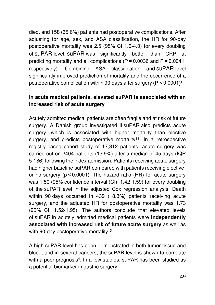died, and 158 (35.6%) patients had postoperative complications. After adjusting for age, sex, and ASA classification, the HR for 90-day postoperative mortality was 2.5 (95% CI 1.6-4.0) for every doubling of suPAR level. suPAR was significantly better than CRP at predicting mortality and all complications (P = 0.0036 and P = 0.0041, respectively). Combining ASA classification and suPAR level significantly improved prediction of mortality and the occurrence of a postoperative complication within 90 days after surgery (P < 0.0001)<sup>12</sup> .

### **In acute medical patients, elevated suPAR is associated with an increased risk of acute surgery**

Acutely admitted medical patients are often fragile and at risk of future surgery. A Danish group investigated if suPAR also predicts acute surgery, which is associated with higher mortality than elective surgery, and predicts postoperative mortality<sup>13</sup>. In a retrospective registry-based cohort study of 17,312 patients, acute surgery was carried out on 2404 patients (13.9%) after a median of 45 days (IQR 5-186) following the index admission. Patients receiving acute surgery had higher baseline suPAR compared with patients receiving electiveor no surgery (p < 0.0001). The hazard ratio (HR) for acute surgery was 1.50 (95% confidence interval (CI): 1.42-1.59) for every doubling of the suPAR level in the adjusted Cox regression analysis. Death within 90 days occurred in 439 (18.3%) patients receiving acute surgery, and the adjusted HR for postoperative mortality was 1.73 (95% CI: 1.52-1.95). The authors conclude that elevated levels of suPAR in acutely admitted medical patients were **independently associated with increased risk of future acute surgery** as well as with 90-day postoperative mortality<sup>13</sup>.

A high suPAR level has been demonstrated in both tumor tissue and blood, and in several cancers, the suPAR level is shown to correlate with a poor prognosis<sup>4</sup>. In a few studies, suPAR has been studied as a potential biomarker in gastric surgery.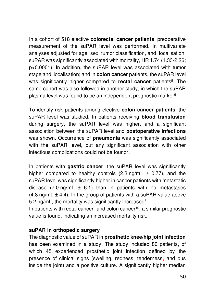In a cohort of 518 elective **colorectal cancer patients**, preoperative measurement of the suPAR level was performed. In multivariate analyses adjusted for age, sex, tumor classification, and localisation, suPAR was significantly associated with mortality, HR 1.74 (1.33-2.26; p<0.0001). In addition, the suPAR level was associated with tumor stage and localisation; and in **colon cancer** patients, the suPAR level was significantly higher compared to **rectal cancer** patients<sup>5</sup>. The same cohort was also followed in another study, in which the suPAR plasma level was found to be an independent prognostic marker<sup>6</sup> .

To identify risk patients among elective **colon cancer patients,** the suPAR level was studied. In patients receiving **blood transfusion** during surgery, the suPAR level was higher, and a significant association between the suPAR level and **postoperative infections** was shown. Occurrence of **pneumonia** was significantly associated with the suPAR level, but any significant association with other infectious complications could not be found<sup>7</sup> .

In patients with **gastric cancer**, the suPAR level was significantly higher compared to healthy controls  $(2.3 \text{ ng/mL} \pm 0.77)$ , and the suPAR level was significantly higher in cancer patients with metastatic disease  $(7.0 \text{ ng/mL} \pm 6.1)$  than in patients with no metastases  $(4.8 \text{ ng/mL} \pm 4.4)$ . In the group of patients with a suPAR value above 5.2 ng/mL, the mortality was significantly increased<sup>8</sup>.

In patients with rectal cancer<sup>9</sup> and colon cancer<sup>10</sup>, a similar prognostic value is found, indicating an increased mortality risk.

#### **suPAR in orthopedic surgery**

The diagnostic value of suPAR in **prosthetic knee/hip joint infection** has been examined in a study. The study included 80 patients, of which 45 experienced prosthetic joint infection defined by the presence of clinical signs (swelling, redness, tenderness, and pus inside the joint) and a positive culture. A significantly higher median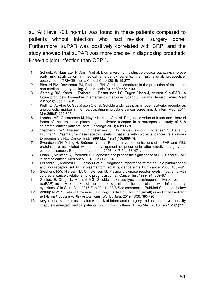suPAR level (6.8 ng/mL) was found in these patients compared to patients without infection who had revision surgery done. Furthermore, suPAR was positively correlated with CRP, and the study showed that suPAR was more precise in diagnosing prosthetic knee/hip joint infection than CRP<sup>11</sup> .

- 1. Schuetz P, Hausfater P, Amin A et al. Biomarkers from distinct biological pathways improve early risk stratification in medical emergency patients: the multinational, prospective, observational TRIAGE study. Critical Care (2015) 19:377
- 2. Biccard BM, Devereaux PJ, Rodseth RN. Cardiac biomarkers in the prediction of risk in the non-cardiac surgery setting. Anaesthesia 2014; 69: 484-493.
- 3. Østervig RM, Køber L, Forberg JL, Rasmussen LS, Eugen-Olsen J, Iversen K. suPAR—a future prognostic biomarker in emergency medicine. Scand J Trauma Resusc Emerg Med 2015;23(Suppl 1):A31.
- 4. Kjellman A, Akre O, Gustafsson O et al. Soluble urokinase plasminogen acitvator receptor as a prognostic marker in men participating in prostate cancer screening. J. intern Med. 2011 Mar;269(3):299-305.
- 5. Lomholt AF, Christensen IJ, Høyer-Hansen G et al. Prognostic value of intact and cleaved forms of the urokinase plasminogen activator receptor in a retrospective study of 518 colorectal cancer patients. Acta Oncology 2010; 49:805-811
- 6. [Stephens RW1](http://www.ncbi.nlm.nih.gov/pubmed/?term=Stephens%20RW%5BAuthor%5D&cauthor=true&cauthor_uid=10340907), [Nielsen HJ,](http://www.ncbi.nlm.nih.gov/pubmed/?term=Nielsen%20HJ%5BAuthor%5D&cauthor=true&cauthor_uid=10340907) [Christensen IJ,](http://www.ncbi.nlm.nih.gov/pubmed/?term=Christensen%20IJ%5BAuthor%5D&cauthor=true&cauthor_uid=10340907) [Thorlacius-Ussing O,](http://www.ncbi.nlm.nih.gov/pubmed/?term=Thorlacius-Ussing%20O%5BAuthor%5D&cauthor=true&cauthor_uid=10340907) [Sørensen S,](http://www.ncbi.nlm.nih.gov/pubmed/?term=S%C3%B8rensen%20S%5BAuthor%5D&cauthor=true&cauthor_uid=10340907) [Danø K,](http://www.ncbi.nlm.nih.gov/pubmed/?term=Dan%C3%B8%20K%5BAuthor%5D&cauthor=true&cauthor_uid=10340907)  [Brünner N.](http://www.ncbi.nlm.nih.gov/pubmed/?term=Br%C3%BCnner%20N%5BAuthor%5D&cauthor=true&cauthor_uid=10340907) Plasma urokinase receptor levels in patients with colorectal cancer: relationship to prognosis.J Natl Cancer Inst. 1999 May 19;91(10):869-74.
- 7. Svendsen MN, Ytting H, Brünner N et al. Preoperative concentrations of suPAR and MBL proteins are associated with the development of pneumonia after elective surgery for colorectal cancer. Surg Infect (Larchmt) 2006 okt;7(5): 463-471.
- 8. Fidan E, Mentese A, Ozedemir F. Diagnostic and prognostic significance of CA IX and suPAR in gastric cancer. Med oncol 2013 jun;30(2):540
- 9. Fernebro E, Madsen RR, Fernö M et al. Prognostic importance of the soluble plasminogen activator receptor, suPAR, in plasma from rectal cancer pateints. Eur j cancer 2000; 486-491.
- 10. Stephens RW, Nielsen HJ, Christensen IJ. Plasma urokinase recptor levels in patients with colorectal cancer: relationship to prognosis. J natl Cancer Inst 1999, 91, 869-874.
- 11. Galliera E, Drago L, Marazzi MG. Soluble urokinase-type plasminogen activator receptor (suPAR) as new biomarker of the prosthetic joint infection: correlation with inflammatory cytokines. Clin Chim Acta 2015 Feb 20;414:23-8.See comment in PubMed Commons below
- 12. Alstrup M et al. [Soluble Urokinase Plasminogen Activator Receptor \(suPAR\) as an Added Predictor](https://www.ncbi.nlm.nih.gov/pubmed/30390135)  [to Existing Preoperative Risk Assessments.](https://www.ncbi.nlm.nih.gov/pubmed/30390135) World J Surg. 2019 43(3):780-790
- 13. [Meyer J](https://www.ncbi.nlm.nih.gov/pubmed/?term=Meyer%20J%5BAuthor%5D&cauthor=true&cauthor_uid=29391054) et a..suPAR is associated with risk of future acute surgery and postoperative mortality in acutely admitted medical patients. [Scand J Trauma Resusc Emerg Med.](https://www.ncbi.nlm.nih.gov/pubmed/29391054) 2018 Feb 1;26(1):11.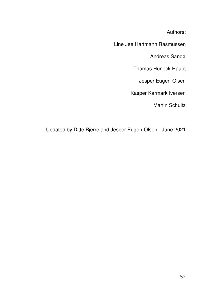Authors:

Line Jee Hartmann Rasmussen

Andreas Sandø

Thomas Huneck Haupt

Jesper Eugen-Olsen

Kasper Karmark Iversen

Martin Schultz

Updated by Ditte Bjerre and Jesper Eugen-Olsen - June 2021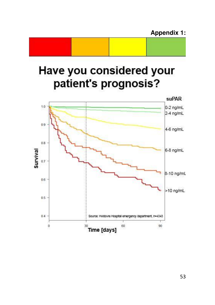# **Appendix 1:**

# Have you considered your patient's prognosis?

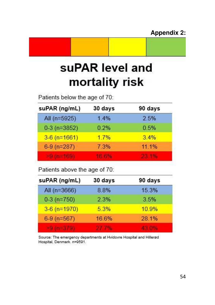# suPAR level and mortality risk

Patients below the age of 70:

| suPAR (ng/mL)  | 30 days | 90 days |
|----------------|---------|---------|
| All $(n=5925)$ | 1.4%    | 2.5%    |
| $0-3$ (n=3852) | 0.2%    | 0.5%    |
| $3-6$ (n=1661) | 17%     | $3.4\%$ |
| $6-9$ (n=287)  | 7.3%    | 11.1%   |
|                |         |         |

Patients above the age of 70:

| suPAR (ng/mL)  | 30 days | 90 days |
|----------------|---------|---------|
| All (n=3666)   | 8.8%    | 15.3%   |
| $0-3$ (n=750)  | 2.3%    | 3.5%    |
| $3-6$ (n=1970) | 5.3%    | 10.9%   |
| $6-9$ (n=567)  | 16.6%   | 28.1%   |
|                |         |         |

Source: The emergency departments at Hvidovre Hospital and Hillerød Hospital, Denmark. n=9591.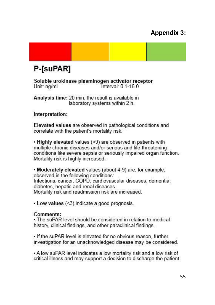# **Appendix 3:**



Soluble urokinase plasminogen activator receptor Unit: ng/mL Interval: 0.1-16.0

Analysis time: 20 min: the result is available in laboratory systems within 2 h.

#### Interpretation:

Elevated values are observed in pathological conditions and correlate with the patient's mortality risk.

. Highly elevated values (>9) are observed in patients with multiple chronic diseases and/or serious and life-threatening conditions like severe sepsis or seriously impaired organ function. Mortality risk is highly increased.

• Moderately elevated values (about 4-9) are, for example, observed in the following conditions: Infections, cancer, COPD, cardiovascular diseases, dementia, diabetes, hepatic and renal diseases. Mortality risk and readmission risk are increased.

 $\cdot$  Low values (<3) indicate a good prognosis.

#### Comments:

. The suPAR level should be considered in relation to medical history, clinical findings, and other paraclinical findings.

. If the suPAR level is elevated for no obvious reason, further investigation for an unacknowledged disease may be considered.

• A low suPAR level indicates a low mortality risk and a low risk of critical illness and may support a decision to discharge the patient.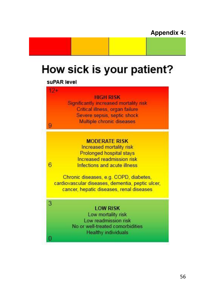# How sick is your patient?

suPAR level

 $\mathbf{Q}$ 

6

3

O

**HIGH RISK** 

Significantly increased mortality risk Critical illness, organ failure Severe sepsis, septic shock Multiple chronic diseases

#### **MODERATE RISK**

Increased mortality risk Prolonged hospital stays Increased readmission risk Infections and acute illness

Chronic diseases, e.g. COPD, diabetes, cardiovascular diseases, dementia, peptic ulcer, cancer, hepatic diseases, renal diseases

#### **LOW RISK**

Low mortality risk Low readmission risk No or well-treated comorbidities **Healthy individuals**